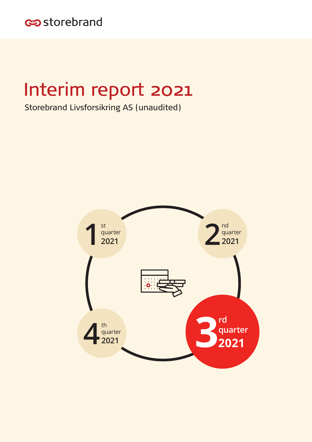

# Interim report 2021

Storebrand Livsforsikring AS (unaudited)

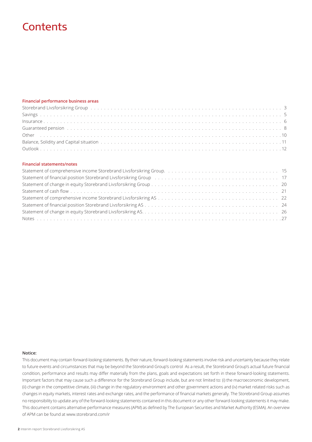# **Contents**

#### **Financial performance business areas**

#### **Financial statements/notes**

| Statement of financial position Storebrand Livsforsikring Group (and all conditions of the condition of financial position Storebrand Livsforsikring Group (and all conditions of the conditions of the conditions of the cond |  |
|--------------------------------------------------------------------------------------------------------------------------------------------------------------------------------------------------------------------------------|--|
|                                                                                                                                                                                                                                |  |
|                                                                                                                                                                                                                                |  |
|                                                                                                                                                                                                                                |  |
|                                                                                                                                                                                                                                |  |
|                                                                                                                                                                                                                                |  |
|                                                                                                                                                                                                                                |  |

#### **Notice:**

This document may contain forward-looking statements. By their nature, forward-looking statements involve risk and uncertainty because they relate to future events and circumstances that may be beyond the Storebrand Group's control As a result, the Storebrand Group's actual future financial condition, performance and results may differ materially from the plans, goals and expectations set forth in these forward-looking statements. Important factors that may cause such a difference for the Storebrand Group include, but are not limited to: (i) the macroeconomic development, (ii) change in the competitive climate, (iii) change in the regulatory environment and other government actions and (iv) market related risks such as changes in equity markets, interest rates and exchange rates, and the performance of financial markets generally. The Storebrand Group assumes no responsibility to update any of the forward-looking statements contained in this document or any other forward-looking statements it may make. This document contains alternative performance measures (APM) as defined by The European Securities and Market Authority (ESMA). An overview of APM can be found at www.storebrand.com/ir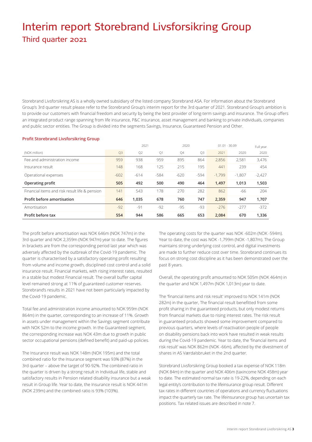# Interim report Storebrand Livsforsikring Group Third quarter 2021

Storebrand Livsforsikring AS is a wholly owned subsidiary of the listed company Storebrand ASA. For information about the Storebrand Group's 3rd quarter result please refer to the Storebrand Group's interim report for the 3rd quarter of 2021. Storebrand Group's ambition is to provide our customers with financial freedom and security by being the best provider of long-term savings and insurance. The Group offers an integrated product range spanning from life insurance, P&C insurance, asset management and banking to private individuals, companies and public sector entities. The Group is divided into the segments Savings, Insurance, Guaranteed Pension and Other.

#### **Profit Storebrand Livsforsikring Group**

|                                                |        | 2021<br>2020   |        |        | $01.01 - 30.09$ |          |          |          |
|------------------------------------------------|--------|----------------|--------|--------|-----------------|----------|----------|----------|
| (NOK million)                                  | Q3     | Q <sub>2</sub> | Q1     | Q4     | Q <sub>3</sub>  | 2021     | 2020     | 2020     |
| Fee and administration income                  | 959    | 938            | 959    | 895    | 864             | 2.856    | 2.581    | 3,476    |
| Insurance result                               | 148    | 168            | 125    | 215    | 195             | 441      | 239      | 454      |
| Operational expenses                           | $-602$ | $-614$         | $-584$ | $-620$ | $-594$          | $-1.799$ | $-1,807$ | $-2,427$ |
| Operating profit                               | 505    | 492            | 500    | 490    | 464             | 1,497    | 1,013    | 1,503    |
| Financial items and risk result life & pension | 141    | 543            | 178    | 270    | 282             | 862      | -66      | 204      |
| Profit before amortisation                     | 646    | 1,035          | 678    | 760    | 747             | 2,359    | 947      | 1,707    |
| Amortisation                                   | $-92$  | $-91$          | $-92$  | $-95$  | -93             | $-276$   | $-277$   | $-372$   |
| Profit before tax                              | 554    | 944            | 586    | 665    | 653             | 2.084    | 670      | 1.336    |

The profit before amortisation was NOK 646m (NOK 747m) in the 3rd quarter and NOK 2,359m (NOK 947m) year to date. The figures in brackets are from the corresponding period last year which was adversely affected by the outbreak of the Covid-19 pandemic. The quarter is characterised by a satisfactory operating profit resulting from volume and income growth, disciplined cost control and a solid insurance result. Financial markets, with rising interest rates, resulted in a stable but modest Financial result. The overall buffer capital level remained strong at 11% of guaranteed customer reserves. Storebrand's results in 2021 have not been particularly impacted by the Covid-19 pandemic.

Total fee and administration income amounted to NOK 959m (NOK 864m) in the quarter, corresponding to an increase of 11%. Growth in assets under management within the Savings segment contribute with NOK 52m to the income growth. In the Guaranteed segment, the corresponding increase was NOK 43m due to growth in public sector occupational pensions (defined benefit) and paid-up policies.

The Insurance result was NOK 148m (NOK 195m) and the total combined ratio for the Insurance segment was 93% (87%) in the 3rd quarter – above the target of 90-92%. The combined ratio in the quarter is driven by a strong result in Individual life, stable and satisfactory results in Pension related disability insurance but a weak result in Group life. Year to date, the Insurance result is NOK 441m (NOK 239m) and the combined ratio is 93% (103%).

The operating costs for the quarter was NOK -602m (NOK -594m). Year to date, the cost was NOK -1,799m (NOK -1,807m). The Group maintains strong underlying cost control, and digital investments are made to further reduce cost over time. Storebrand continues its focus on strong cost discipline as it has been demonstrated over the past 8 years.

Overall, the operating profit amounted to NOK 505m (NOK 464m) in the quarter and NOK 1,497m (NOK 1,013m) year to date.

The 'financial items and risk result' improved to NOK 141m (NOK 282m) in the quarter, The financial result benefitted from some profit sharing in the guaranteed products, but only modest returns from financial markets due to rising interest rates. The risk result in guaranteed products showed some improvement compared to previous quarters, where levels of reactivation people of people on disability pensions back into work have resulted in weak results during the Covid-19 pandemic. Year to date, the 'financial items and risk result' was NOK 862m (NOK -66m), affected by the divestment of shares in AS Værdalsbruket in the 2nd quarter.

Storebrand Livsforsikring Group booked a tax expense of NOK 118m (NOK 84m) in the quarter and NOK 406m (taxincome NOK 458m) year to date. The estimated normal tax rate is 19-22%, depending on each legal entity's contribution to the lifeinsurance group result. Different tax rates in different countries of operations and currency fluctuations impact the quarterly tax rate. The lifeinsurance group has uncertain tax positions. Tax related issues are described in note 7.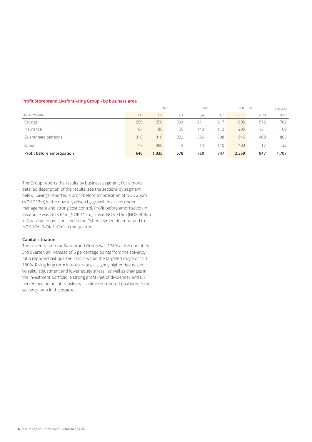#### **Profit Storebrand Livsforsikring Group - by business area**

|                            |     |                | 2021 | 2020      |     |       | $01.01 - 30.09$ | Full year |
|----------------------------|-----|----------------|------|-----------|-----|-------|-----------------|-----------|
| (NOK million)              | Q3  | O <sub>2</sub> | Q1   | <b>04</b> | Q3  | 2021  | 2020            | 2020      |
| Savings                    | 250 | 250            | 304  | 211       | 217 | 805   | 572             | 782       |
| Insurance                  | 64  | 86             | 56   | 140       | 112 | 205   | $-5^{\circ}$    | 89        |
| Guaranteed pensions        | 315 | 310            | 322  | 396       | 308 | 946   | 409             | 805       |
| Other                      | 17  | 390            | -4   | 14        | 110 | 403   |                 | 32        |
| Profit before amortisation | 646 | 1,035          | 678  | 760       | 747 | 2,359 | 947             | 1,707     |

The Group reports the results by business segment. For a more detailed description of the results, see the sections by segment below. Savings reported a profit before amortisation of NOK 250m (NOK 217m) in the quarter, driven by growth in assets under management and strong cost control. Profit before amortisation in Insurance was NOK 64m (NOK 112m), it was NOK 315m (NOK 308m) in Guaranteed pension, and in the Other segment it amounted to NOK 17m (NOK 110m) in the quarter.

#### **Capital situation**

The solvency ratio for Storebrand Group was 178% at the end of the 3rd quarter, an increase of 6 percentage points from the solvency ratio reported last quarter. This is within the targeted range of 150- 180%. Rising long term interest rates, a slightly higher decreased volatility adjustment and lower equity stress , as well as changes in the investment portfolio, a strong profit (net of dividends), and 0.7 percentage points of transitional capital contributed positively to the solvency ratio in the quarter.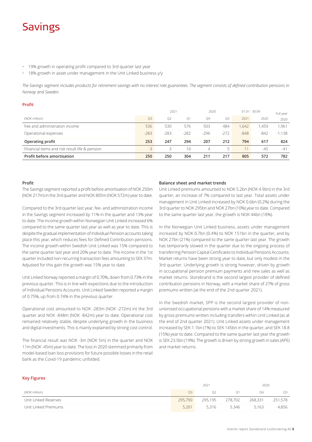# Savings

- 19% growth in operating profit compared to 3rd quarter last year
- 18% growth in asset under management in the Unit Linked business y/y

*The Savings segment includes products for retirement savings with no interest rate guarantees. The segment consists of defined contribution pensions in Norway and Sweden.* 

| Profit                                         |        |                |        |                         |                |        |        |          |           |
|------------------------------------------------|--------|----------------|--------|-------------------------|----------------|--------|--------|----------|-----------|
|                                                |        | 2021           |        | $01.01 - 30.09$<br>2020 |                |        |        |          | Full year |
| (NOK million)                                  | Q3     | O <sub>2</sub> | Q1     | Q4                      | O <sub>3</sub> | 2021   | 2020   | 2020     |           |
| Fee and administration income                  | 536    | 530            | 576    | 503                     | 484            | 1,642  | ,459   | 1,961    |           |
| Operational expenses                           | $-283$ | $-283$         | $-282$ | $-296$                  | $-272$         | $-848$ | $-842$ | $-1,138$ |           |
| Operating profit                               | 253    | 247            | 294    | 207                     | 212            | 794    | 617    | 824      |           |
| Financial items and risk result life & pension | $-3$   | 3              | 10     | $\overline{4}$          | 5              |        | $-45$  | $-41$    |           |
| Profit before amortisation                     | 250    | 250            | 304    | 211                     | 217            | 805    | 572    | 782      |           |

#### **Profit**

The Savings segment reported a profit before amortisation of NOK 250m (NOK 217m) in the 3rd quarter and NOK 805m (NOK 572m) year to date.

Compared to the 3rd quarter last year, fee- and administration income in the Savings segment increased by 11% in the quarter and 13% year to date. The income growth within Norwegian Unit Linked increased 6% compared to the same quarter last year as well as year to date. This is despite the gradual implementation of Individual Pension accounts taking place this year, which reduces fees for Defined Contribution pensions. The income growth within Swedish Unit Linked was 15% compared to the same quarter last year and 20% year to date. The income in the 1st quarter included non-recurring transaction fees amounting to SEK 37m. Adjusted for this gain the growth was 15% year to date.

Unit Linked Norway reported a margin of 0.70%, down from 0.73% in the previous quarter. This is in line with expections due to the introduction of Individual Pensions Accounts. Unit Linked Sweden reported a margin of 0.75%, up from 0.74% in the previous quarter.

Operational cost amounted to NOK -283m (NOK -272m) int the 3rd quarter and NOK -848m (NOK -842m) year to date. Operational cost remained relatively stable, despite underlying growth in the business and digital investments. This is mainly explained by strong cost control.

The financial result was NOK -3m (NOK 5m) in the quarter and NOK 11m (NOK -45m) year to date. The loss in 2020 stemmed primarily from model-based loan loss provisions for future possible losses in the retail bank as the Covid-19 pandemic unfolded.

#### **Balance sheet and market trends**

Unit Linked premiums amounted to NOK 5.2bn (NOK 4.9bn) in the 3rd quarter, an increase of 7% compared to last year. Total assets under management in Unit Linked increased by NOK 0.6bn (0.2%) during the 3rd quarter to NOK 295bn and NOK 27bn (10%) year to date. Compared to the same quarter last year, the growth is NOK 44bn (18%).

In the Norwegian Unit Linked business, assets under management increased by NOK 0.7bn (0.4%) to NOK 151bn in the quarter, and by NOK 27bn (21%) compared to the same quarter last year. The growth has temporarily slowed in the quarter due to the ongoing process of transferring Pension Capital Certificates to Individual Pensions Accounts. Market returns have been strong year to date, but only modest in the 3rd quarter. Underlying growth is strong however, driven by growth in occupational pension premium payments and new sales as well as market returns. Storebrand is the second largest provider of defined contribution pensions in Norway, with a market share of 27% of gross premiums written (at the end of the 2nd quarter 2021).

In the Swedish market, SPP is the second largest provider of nonunionised occupational pensions with a market share of 14% measured by gross premiums written including transfers within Unit Linked (as at the end of 2nd quarter 2021). Unit Linked assets under management increased by SEK 1.1bn (1%) to SEK 145bn in the quarter, and SEK 18.8 (15%) year to date. Compared to the same quarter last year the growth is SEK 23.5bn (19%). The growth is driven by strong growth in sales (APE) and market returns.

#### **Key Figures**

|                      | 2021    |                |                | 2020    |         |
|----------------------|---------|----------------|----------------|---------|---------|
| (NOK million)        | О3      | O <sub>2</sub> | O <sub>1</sub> | O4      | O3      |
| Unit Linked Reserves | 295,790 | 295,195        | 278,702        | 268.331 | 251,578 |
| Unit Linked Premiums | 5.201   | 5.316          | 5.346          | 5.163   | 4,856   |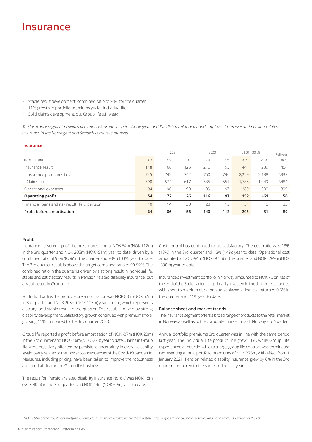### Insurance

- Stable result development, combined ratio of 93% for the quarter
- 11% growth in portfolio premiums y/y for Individual life
- Solid claims development, but Group life still weak

*The Insurance segment provides personal risk products in the Norwegian and Swedish retail market and employee insurance and pension-related insurance in the Norwegian and Swedish corporate markets.*

#### **Insurance**

|                                                | 2021   |        | 2020   |        | $01.01 - 30.09$ |          | Full year |          |
|------------------------------------------------|--------|--------|--------|--------|-----------------|----------|-----------|----------|
| (NOK million)                                  | Q3     | Q2     | Q1     | Q4     | Q3              | 2021     | 2020      | 2020     |
| Insurance result                               | 148    | 168    | 125    | 215    | 195             | 441      | 239       | 454      |
| - Insurance premiums f.o.a.                    | 745    | 742    | 742    | 750    | 746             | 2,229    | 2.188     | 2,938    |
| - Claims f.o.a.                                | $-598$ | $-574$ | $-617$ | $-535$ | $-551$          | $-1.788$ | $-1.949$  | $-2,484$ |
| Operational expenses                           | $-94$  | $-96$  | -99    | -99    | -97             | $-289$   | $-300$    | $-399$   |
| <b>Operating profit</b>                        | 54     | 72     | 26     | 116    | 97              | 152      | -61       | 56       |
| Financial items and risk result life & pension | 10     | 14     | 30     | 23     | 15              | 54       | 10        | 33       |
| Profit before amortisation                     | 64     | 86     | 56     | 140    | 112             | 205      | $-51$     | 89       |

#### **Profit**

Insurance delivered a profit before amortisation of NOK 64m (NOK 112m) in the 3rd quarter and NOK 205m (NOK -51m) year to date, driven by a combined ratio of 93% (87%) in the quarter and 93% (103%) year to date. The 3rd quarter result is above the target combined ratio of 90-92%. The combined ratio in the quarter is driven by a strong result in Individual life, stable and satisfactory results in Pension related disability insurance, but a weak result in Group life.

For Individual life, the profit before amortisation was NOK 83m (NOK 52m) in 3rd quarter and NOK 208m (NOK 103m) year to date, which represents a strong and stable result in the quarter. The result til driven by strong disability development. Satisfactory growth continued with premiums f.o.a. growing 11% compared to the 3rd quarter 2020.

Group life reported a profit before amortisation of NOK -37m (NOK 20m) in the 3rd quarter and NOK -46m (NOK -223) year to date. Claims in Group life were negatively affected by persistent uncertainty in overall disability levels, partly related to the indirect consequences of the Covid-19 pandemic. Measures, including pricing, have been taken to improve the robustness and profitability for the Group life business.

The result for 'Pension related disability insurance Nordic' was NOK 18m (NOK 40m) in the 3rd quarter and NOK 44m (NOK 69m) year to date.

Cost control has continued to be satisfactory. The cost ratio was 13% (13%) in the 3rd quarter and 13% (14%) year to date. Operational cost amounted to NOK -94m (NOK -97m) in the quarter and NOK -289m (NOK -300m) year to date.

Insurance's investment portfolio in Norway amounted to NOK 7.2bn<sup>1)</sup> as of the end of the 3rd quarter. It is primarily invested in fixed income securities with short to medium duration and achieved a financial return of 0.6% in the quarter and 2.1% year to date.

#### **Balance sheet and market trends**

The Insurance segment offers a broad range of products to the retail market in Norway, as well as to the corporate market in both Norway and Sweden.

Annual portfolio premiums 3rd quarter was in line with the same period last year. The Individual Life product line grew 11%, while Group Life experienced a reduction due to a large group life contract was terminated representing annual portfolio premiums of NOK 275m, with effect from 1 January 2021. Pension related disability insurance grew by 6% in the 3rd quarter compared to the same period last year.

1 *NOK 2.9bn of the investment portfolio is linked to disability coverages where the investment result goes to the customer reserves and not as a result element in the P&L.*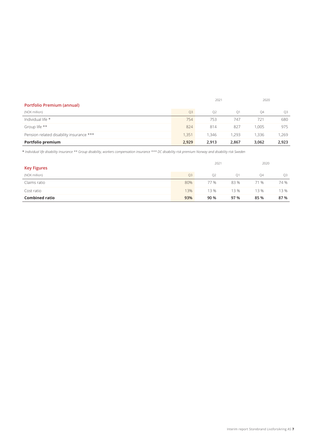|                                          |                | 2021           |                | 2020  |                |
|------------------------------------------|----------------|----------------|----------------|-------|----------------|
| <b>Portfolio Premium (annual)</b>        |                |                |                |       |                |
| (NOK million)                            | O <sub>3</sub> | O <sub>2</sub> | O <sub>1</sub> | 04    | O <sub>3</sub> |
| Individual life *                        | 754            | 753            | 747            | 721   | 680            |
| Group life **                            | 824            | 814            | 827            | 1.005 | 975            |
| Pension related disability insurance *** | 1.351          | 1.346          | 1.293          | 1.336 | 1.269          |
| Portfolio premium                        | 2.929          | 2.913          | 2.867          | 3.062 | 2,923          |

\* *Individual life disability insurance \*\* Group disability, workers compensation insurance \*\*\* DC disability risk premium Norway and disability risk Sweden*

|                       |                | 2021 |      | 2020 |                |
|-----------------------|----------------|------|------|------|----------------|
| <b>Key Figures</b>    |                |      |      |      |                |
| (NOK million)         | Q <sub>3</sub> | Q2   | Q1   | 04   | O <sub>3</sub> |
| Claims ratio          | 80%            | 77 % | 83 % | 71 % | 74 %           |
| Cost ratio            | 13%            | 13 % | 13%  | 13%  | 13 %           |
| <b>Combined ratio</b> | 93%            | 90 % | 97 % | 85 % | 87 %           |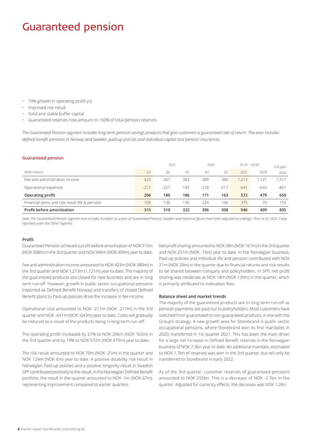# Guaranteed pension

- 19% growth in operating profit y/y
- Improved risk result
- Solid and stable buffer capital
- Guaranteed reserves now amount to <50% of total pension reserves

*The Guaranteed Pension segment includes long-term pension savings products that give customers a guaranteed rate of return. The area includes defined benefit pensions in Norway and Sweden, paid-up policies and individual capital and pension insurances.*

#### **Guaranteed pension**

|                                                | 2021           |                |                | 2020      |                | $01.01 - 30.09$ |        |        |
|------------------------------------------------|----------------|----------------|----------------|-----------|----------------|-----------------|--------|--------|
| (NOK million)                                  | O <sub>3</sub> | O <sub>2</sub> | O <sub>1</sub> | <b>04</b> | O <sub>3</sub> | 2021            | 2020   | 2020   |
| Fee and administration income                  | 423            | 407            | 383            | 389       | 380            | 1.213           | ,121   | .511   |
| Operational expenses                           | $-217$         | $-227$         | $-197$         | $-218$    | $-217$         | $-641$          | $-643$ | $-861$ |
| Operating profit                               | 206            | 180            | 186            | 171       | 163            | 572             | 479    | 650    |
| Financial items and risk result life & pension | 109            | 130            | 136            | 224       | 146            | 375             | $-70$  | 155    |
| Profit before amortisation                     | 315            | 310            | 322            | 396       | 308            | 946             | 409    | 805    |

*Note: The 'Guaranteed Pension' segment now includes 'Euroben' as a part of 'Guaranteed Pension, Sweden' and historical figures have been adjusted accordingly. Prior to Q1 2021 it was reported under the 'Other' segment.* 

#### **Profit**

Guaranteed Pension achieved a profit before amortisation of NOK 315m (NOK 308m) in the 3rd quarter and NOK 946m (NOK 409m) year to date.

Fee and administration income amounted to NOK 423m (NOK 380m) in the 3rd quarter and NOK 1,213m (1,121m) year to date. The majority of the guaranteed products are closed for new business and are in long term run-off. However, growth in public sector occupational pensions (reported as Defined Benefit Norway) and transfers of closed Defined Benefit plans to Paid-up policies drive the increase in fee income.

Operational cost amounted to NOK -217m (NOK -217m) in the 3rd quarter and NOK -641m (NOK -643m) year to date. Costs will gradually be reduced as a result of the products being in long-term run-off.

The operating profit increased by 27% to NOK 206m (NOK 163m) in the 3rd quarter and by 19% to NOK 572m (NOK 479m) year to date.

The risk result amounted to NOK 70m (NOK -21m) in the quarter and NOK 124m (NOK 6m) year to date. A positive disability risk result in Norwegian Paid-up policies and a positive longevity result in Swedish SPP contributed positively to the result. In the Norwegian Defined Benefit portfolio, the result in the quarter amounted to NOK -1m (NOK-67m), representing improvement compared to earlier quarters.

Net profit sharing amounted to NOK 38m (NOK 167m) in the 3rd quarter and NOK 251m (NOK -75m) year to date. In the Norwegian business, Paid-up policies and Individual life and pension contributed with NOK 21m (NOK 28m) in the quarter due to financial returns and risk results to be shared between company and policyholders. In SPP, net profit sharing was moderate at NOK 18m (NOK 139m) in the quarter, which is primarily attributed to indexation fees.

#### **Balance sheet and market trends**

The majority of the guaranteed products are in long term run-off as pension payments are paid out to policyholders. Most customers have switched from guaranteed to non-guaranteed products, in line with the Group's strategy. A new growth area for Storebrand is public sector occupational pensions, where Storebrand won its first mandates in 2020, transferred in 1st quarter 2021. This has been the main driver for a large net increase in Defined Benefit reserves in the Norwegian business of NOK 7.3bn year to date. An additional mandate, estimated to NOK 1.7bn of reserves was won in the 3rd quarter, but will only be transferred to Storebrand in early 2022.

As of the 3rd quarter, customer reserves of guaranteed pensions amounted to NOK 292bn. This is a decrease of NOK -2.7bn in the quarter. Adjusted for currency effects, the decrease was NOK 1.2bn.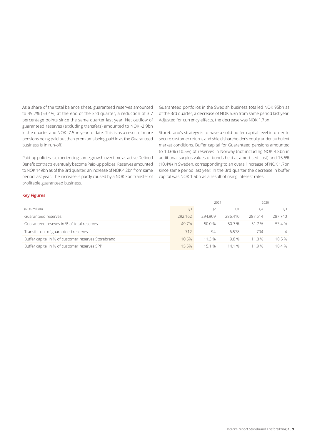As a share of the total balance sheet, guaranteed reserves amounted to 49.7% (53.4%) at the end of the 3rd quarter, a reduction of 3.7 percentage points since the same quarter last year. Net outflow of guaranteed reserves (excluding transfers) amounted to NOK -2.9bn in the quarter and NOK -7.5bn year to date. This is as a result of more pensions being paid out than premiums being paid in as the Guaranteed business is in run-off.

Paid-up policies is experiencing some growth over time as active Defined Benefit contracts eventually become Paid-up policies. Reserves amounted to NOK 149bn as of the 3rd quarter, an increase of NOK 4.2bn from same period last year. The increase is partly caused by a NOK 3bn transfer of profitable guaranteed business.

Guaranteed portfolios in the Swedish business totalled NOK 95bn as of the 3rd quarter, a decrease of NOK 6.3n from same period last year. Adjusted for currency effects, the decrease was NOK 1.7bn.

Storebrand's strategy is to have a solid buffer capital level in order to secure customer returns and shield shareholder's equity under turbulent market conditions. Buffer capital for Guaranteed pensions amounted to 10.6% (10.5%) of reserves in Norway (not including NOK 4.8bn in additional surplus values of bonds held at amortised cost) and 15.5% (10.4%) in Sweden, corresponding to an overall increase of NOK 1.7bn since same period last year. In the 3rd quarter the decrease in buffer capital was NOK 1.5bn as a result of rising interest rates.

#### **Key Figures**

|                                                     |                | 2021           |                |         | 2020    |
|-----------------------------------------------------|----------------|----------------|----------------|---------|---------|
| (NOK million)                                       | O <sub>3</sub> | O <sub>2</sub> | O <sub>1</sub> | 04      | O3      |
| Guaranteed reserves                                 | 292.162        | 294.909        | 286,410        | 287.614 | 287.740 |
| Guaranteed reseves in % of total reserves           | 49.7%          | 50.0 %         | 50.7 %         | 51.7%   | 53.4 %  |
| Transfer out of guaranteed reserves                 | $-712$         | - 94           | 6.578          | 704     | $-4$    |
| Buffer capital in % of customer reserves Storebrand | 10.6%          | 11.3 %         | 9.8%           | 11.0%   | 10.5%   |
| Buffer capital in % of customer reserves SPP        | 15.5%          | 151%           | 14.1 %         | 11.9 %  | 10.4 %  |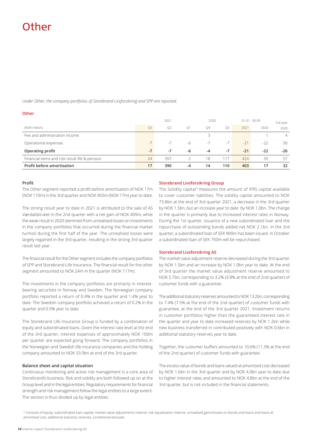# Other

*Under Other, the company portfolios of Storebrand Livsforsikring and SPP are reported.*

#### **Other**

|                                                |      | 2020<br>2021   |                |      | $01.01 - 30.09$ | Full year |       |                |
|------------------------------------------------|------|----------------|----------------|------|-----------------|-----------|-------|----------------|
| (NOK million)                                  | Q3   | O <sub>2</sub> | O <sub>1</sub> | Q4   | O <sub>3</sub>  | 2021      | 2020  | 2020           |
| Fee and administration income                  |      |                |                | 3    |                 |           |       | $\overline{4}$ |
| Operational expenses                           | $-7$ | $-7$           | $-h$           | $-7$ | $-7$            | $-21$     | $-22$ | $-30$          |
| Operating profit                               | $-7$ | -7             | -6             | $-4$ | -7              | $-21$     | $-22$ | $-26$          |
| Financial items and risk result life & pension | 24   | 397            |                | 18   | 117             | 424       | 39    | 57             |
| Profit before amortisation                     | 17   | 390            | -4             | 14   | 110             | 403       | 17    | 32             |

#### **Profit**

The Other segment reported a profit before amortisation of NOK 17m (NOK 110m) in the 3rd quarter and NOK 403m (NOK 17m) year to date.

The strong result year to date in 2021 is attributed to the sale of AS Værdalsbruket in the 2nd quarter with a net gain of NOK 409m, while the weak result in 2020 stemmed from unrealised losses on investments in the company portfolios that occurred during the financial market turmoil during the first half of the year. The unrealised losses were largely regained in the 3rd quarter, resulting in the strong 3rd quarter result last year.

The financial result for the Other segment includes the company portfolios of SPP and Storebrand Life Insurance. The financial result for the other segment amounted to NOK 24m in the quarter (NOK 117m).

The investments in the company portfolios are primarily in interestbearing securities in Norway and Sweden. The Norwegian company portfolio reported a return of 0.4% in the quarter and 1.4% year to date. The Swedish company portfolio achieved a return of 0.2% in the quarter and 0.5% year to date.

The Storebrand Life Insurance Group is funded by a combination of equity and subordinated loans. Given the interest rate level at the end of the 3rd quarter, interest expenses of approximately NOK 100m per quarter are expected going forward. The company portfolios in the Norwegian and Swedish life insurance companies and the holding company amounted to NOK 33.9bn at end of the 3rd quarter.

#### **Balance sheet and capital situation**

Continuous monitoring and active risk management is a core area of Storebrand's business. Risk and solidity are both followed up on at the Group level and in the legal entities. Regulatory requirements for financial strength and risk management follow the legal entities to a large extent. The section is thus divided up by legal entities.

#### **Storebrand Livsforsikring Group**

The Solidity capital<sup>1)</sup> measures the amount of IFRS capital available to cover customer liabilities. The solidity capital amounted to NOK 73.8bn at the end of 3rd quarter 2021, a decrease in the 3rd quarter by NOK 1.5bn, but an increase year to date by NOK 1.0bn. The change in the quarter is primarily due to increased interest rates in Norway. During the 1st quarter, issuance of a new subordinated loan and the repurchase of outstanding bonds added net NOK 2.1bn. In the 3rd quarter, a subordinated loan of SEK 900m has been issued. In October a subordinated loan of SEK 750m will be repurchased.

#### **Storebrand Livsforsikring AS**

The market value adjustment reserve decreased during the 3rd quarter by NOK 1.5bn and an increase by NOK 1.0bn year to date. At the end of 3rd quarter the market value adjustment reserve amounted to NOK 5.7bn, corresponding to 3.2% (3.8% at the end of 2nd quarter) of customer funds with a guarantee.

The additional statutory reserves amounted to NOK 13.2bn, corresponding to 7.4% (7.5% at the end of the 2nd quarter) of customer funds with guarantee, at the end of the 3rd quarter 2021. Investment returns in customer portfolios higher than the guaranteed interest rate in the quarter and year to date increased reserves by NOK 1.2bn while new business transferred in contributed positively with NOK 0.6bn in additional statutory reserves year to date.

Together, the customer buffers amounted to 10.6% (11.3% at the end of the 2nd quarter) of customer funds with guarantee.

The excess value of bonds and loans valued at amortised cost decreased by NOK 1.6bn in the 3rd quarter and by NOK 4.0bn year to date due to higher interest rates and amounted to NOK 4.8bn at the end of the 3rd quarter, but is not included in the financial statements.

<sup>1)</sup> Consists of equity, subordinated loan capital, market value adjustments reserve, risk equalisation reserve, unrealised gains/losses on bonds and loans and loans at amortised cost, additional statutory reserves, conditiional bonuses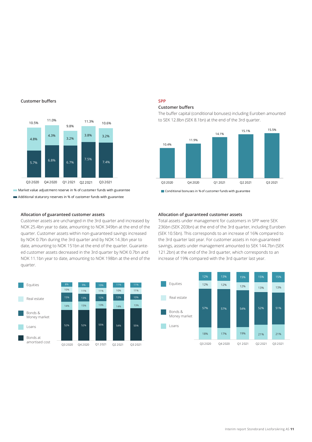#### **Customer buffers**



**Market value adjustment reserve in % of customer funds with guarantee** Additional staturory reserves in % of customer funds with guarantee

#### **Allocation of guaranteed customer assets**

Customer assets are unchanged in the 3rd quarter and increased by NOK 25.4bn year to date, amounting to NOK 349bn at the end of the quarter. Customer assets within non-guaranteed savings increased by NOK 0.7bn during the 3rd quarter and by NOK 14.3bn year to date, amounting to NOK 151bn at the end of the quarter. Guaranteed customer assets decreased in the 3rd quarter by NOK 0.7bn and NOK 11.1bn year to date, amounting to NOK 198bn at the end of the quarter.



### **SPP**

#### **Customer buffers**

The buffer capital (conditional bonuses) including Euroben amounted to SEK 12.8bn (SEK 8.1bn) at the end of the 3rd quarter.





#### **Allocation of guaranteed customer assets**

Total assets under management for customers in SPP were SEK 236bn (SEK 203bn) at the end of the 3rd quarter, including Euroben (SEK 10.5bn). This corresponds to an increase of 16% compared to the 3rd quarter last year. For customer assets in non-guaranteed savings, assets under management amounted to SEK 144.7bn (SEK 121.2bn) at the end of the 3rd quarter, which corresponds to an increase of 19% compared with the 3rd quarter last year.

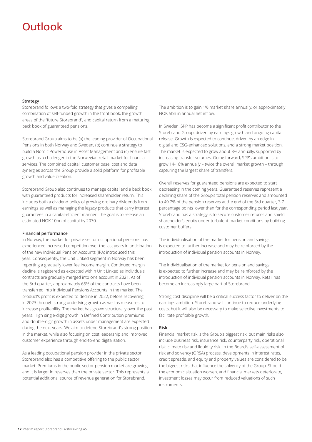# Outlook

#### **Strategy**

Storebrand follows a two-fold strategy that gives a compelling combination of self-funded growth in the front book, the growth areas of the "future Storebrand", and capital return from a maturing back book of guaranteed pensions.

Storebrand Group aims to be (a) the leading provider of Occupational Pensions in both Norway and Sweden, (b) continue a strategy to build a Nordic Powerhouse in Asset Management and (c) ensure fast growth as a challenger in the Norwegian retail market for financial services. The combined capital, customer base, cost and data synergies across the Group provide a solid platform for profitable growth and value creation.

Storebrand Group also continues to manage capital and a back book with guaranteed products for increased shareholder return. This includes both a dividend policy of growing ordinary dividends from earnings as well as managing the legacy products that carry interest guarantees in a capital-efficient manner. The goal is to release an estimated NOK 10bn of capital by 2030.

#### **Financial performance**

In Norway, the market for private sector occupational pensions has experienced increased competition over the last years in anticipation of the new Individual Pension Accounts (IPA) introduced this year. Consequently, the Unit Linked segment in Norway has been reporting a gradually lower fee income margin. Continued margin decline is registered as expected within Unit Linked as individuals' contracts are gradually merged into one account in 2021. As of the 3rd quarter, approximately 65% of the contracts have been transferred into Individual Pensions Accounts in the market. The product's profit is expected to decline in 2022, before recovering in 2023 through strong underlying growth as well as measures to increase profitability. The market has grown structurally over the past years. High single-digit growth in Defined Contribution premiums and double-digit growth in assets under management are expected during the next years. We aim to defend Storebrand's strong position in the market, while also focusing on cost leadership and improved customer experience through end-to-end digitalisation.

As a leading occupational pension provider in the private sector, Storebrand also has a competitive offering to the public sector market. Premiums in the public sector pension market are growing and it is larger in reserves than the private sector. This represents a potential additional source of revenue generation for Storebrand.

The ambition is to gain 1% market share annually, or approximately NOK 5bn in annual net inflow.

In Sweden, SPP has become a significant profit contributor to the Storebrand Group, driven by earnings growth and ongoing capital release. Growth is expected to continue, driven by an edge in digital and ESG-enhanced solutions, and a strong market position. The market is expected to grow about 8% annually, supported by increasing transfer volumes. Going forward, SPP's ambition is to grow 14-16% annually – twice the overall market growth – through capturing the largest share of transfers.

Overall reserves for guaranteed pensions are expected to start decreasing in the coming years. Guaranteed reserves represent a declining share of the Group's total pension reserves and amounted to 49.7% of the pension reserves at the end of the 3rd quarter, 3.7 percentage points lower than for the corresponding period last year. Storebrand has a strategy is to secure customer returns and shield shareholder's equity under turbulent market conditions by building customer buffers.

The individualisation of the market for pension and savings is expected to further increase and may be reinforced by the introduction of individual pension accounts in Norway.

The individualisation of the market for pension and savings is expected to further increase and may be reinforced by the introduction of individual pension accounts in Norway. Retail has become an increasingly large part of Storebrand.

Strong cost discipline will be a critical success factor to deliver on the earnings ambition. Storebrand will continue to reduce underlying costs, but it will also be necessary to make selective investments to facilitate profitable growth.

#### **Risk**

Financial market risk is the Group's biggest risk, but main risks also include business risk, insurance risk, counterparty risk, operational risk, climate risk and liquidity risk. In the Board's self-assessment of risk and solvency (ORSA) process, developments in interest rates, credit spreads, and equity and property values are considered to be the biggest risks that influence the solvency of the Group. Should the economic situation worsen, and financial markets deteriorate, investment losses may occur from reduced valuations of such instruments.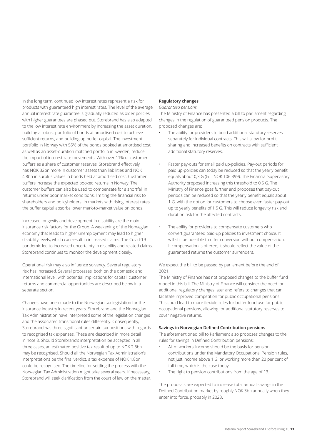In the long term, continued low interest rates represent a risk for products with guaranteed high interest rates. The level of the average annual interest rate guarantee is gradually reduced as older policies with higher guarantees are phased out. Storebrand has also adapted to the low interest rate environment by increasing the asset duration, building a robust portfolio of bonds at amortised cost to achieve sufficient returns, and building up buffer capital. The investment portfolio in Norway with 55% of the bonds booked at amortised cost, as well as an asset-duration matched portfolio in Sweden, reduce the impact of interest rate movements. With over 11% of customer buffers as a share of customer reserves, Storebrand effectively has NOK 32bn more in customer assets than liabilities and NOK 4.8bn in surplus values in bonds held at amortised cost. Customer buffers increase the expected booked returns in Norway. The customer buffers can also be used to compensate for a shortfall in returns under poor market conditions, limiting the financial risk to shareholders and policyholders. In markets with rising interest rates, the buffer capital absorbs lower mark-to-market value on bonds.

Increased longevity and development in disability are the main insurance risk factors for the Group. A weakening of the Norwegian economy that leads to higher unemployment may lead to higher disability levels, which can result in increased claims. The Covid-19 pandemic led to increased uncertainty in disability and related claims. Storebrand continues to monitor the development closely.

Operational risk may also influence solvency. Several regulatory risk has increased. Several processes, both on the domestic and international level, with potential implications for capital, customer returns and commercial opportunities are described below in a separate section.

Changes have been made to the Norwegian tax legislation for the insurance industry in recent years. Storebrand and the Norwegian Tax Administration have interpreted some of the legislation changes and the associated transitional rules differently. Consequently, Storebrand has three significant uncertain tax positions with regards to recognised tax expenses. These are described in more detail in note 8. Should Storebrand's interpretation be accepted in all three cases, an estimated positive tax result of up to NOK 2.8bn may be recognised. Should all the Norwegian Tax Administration's interpretations be the final verdict, a tax expense of NOK 1.8bn could be recognised. The timeline for settling the process with the Norwegian Tax Administration might take several years. If necessary, Storebrand will seek clarification from the court of law on the matter.

#### **Regulatory changes**

#### *Guaranteed pensions*

The Ministry of Finance has presented a bill to parliament regarding changes in the regulation of guaranteed pension products. The proposed changes are:

- The ability for providers to build additional statutory reserves separately for individual contracts. This will allow for profit sharing and increased benefits on contracts with sufficient additional statutory reserves.
- Faster pay-outs for small paid up-policies. Pay-out periods for paid up-policies can today be reduced so that the yearly benefit equals about 0,3 G (G = NOK 106 399). The Financial Supervisory Authority proposed increasing this threshold to 0,5 G. The Ministry of Finance goes further and proposes that pay-out periods can be reduced so that the yearly benefit equals about 1 G, with the option for customers to choose even faster pay-out up to yearly benefits of 1,5 G. This will reduce longevity risk and duration risk for the affected contracts.
- The ability for providers to compensate customers who convert guaranteed paid-up policies to investment choice. It will still be possible to offer conversion without compensation. If compensation is offered, it should reflect the value of the guaranteed returns the customer surrenders.

We expect the bill to be passed by parliament before the end of 2021.

The Ministry of Finance has not proposed changes to the buffer fund model in this bill. The Ministry of Finance will consider the need for additional regulatory changes later and refers to changes that can facilitate improved competition for public occupational pensions. This could lead to more flexible rules for buffer fund use for public occupational pensions, allowing for additional statutory reserves to cover negative returns.

#### **Savings in Norwegian Defined Contribution pensions**

The aforementioned bill to Parliament also proposes changes to the rules for savings in Defined Contribution pensions:

- All of workers' income should be the basis for pension contributions under the Mandatory Occupational Pension rules, not just income above 1 G, or working more than 20 per cent of full time, which is the case today.
- The right to pension contributions from the age of 13.

The proposals are expected to increase total annual savings in the Defined Contribution market by roughly NOK 3bn annually when they enter into force, probably in 2023.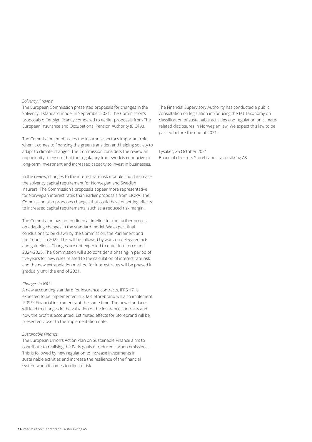#### *Solvency II review*

The European Commission presented proposals for changes in the Solvency II standard model in September 2021. The Commission's proposals differ significantly compared to earlier proposals from The European Insurance and Occupational Pension Authority (EIOPA).

The Commission emphasises the insurance sector's important role when it comes to financing the green transition and helping society to adapt to climate changes. The Commission considers the review an opportunity to ensure that the regulatory framework is conducive to long-term investment and increased capacity to invest in businesses.

In the review, changes to the interest rate risk module could increase the solvency capital requirement for Norwegian and Swedish insurers. The Commission's proposals appear more representative for Norwegian interest rates than earlier proposals from EIOPA. The Commission also proposes changes that could have offsetting effects to increased capital requirements, such as a reduced risk margin.

The Commission has not outlined a timeline for the further process on adapting changes in the standard model. We expect final conclusions to be drawn by the Commission, the Parliament and the Council in 2022. This will be followed by work on delegated acts and guidelines. Changes are not expected to enter into force until 2024-2025. The Commission will also consider a phasing-in period of five years for new rules related to the calculation of interest rate risk and the new extrapolation method for interest rates will be phased in gradually until the end of 2031.

#### *Changes in IFRS*

A new accounting standard for insurance contracts, IFRS 17, is expected to be implemented in 2023. Storebrand will also implement IFRS 9, Financial instruments, at the same time. The new standards will lead to changes in the valuation of the insurance contracts and how the profit is accounted. Estimated effects for Storebrand will be presented closer to the implementation date.

#### *Sustainable Finance*

The European Union's Action Plan on Sustainable Finance aims to contribute to realising the Paris goals of reduced carbon emissions. This is followed by new regulation to increase investments in sustainable activities and increase the resilience of the financial system when it comes to climate risk.

The Financial Supervisory Authority has conducted a public consultation on legislation introducing the EU Taxonomy on classification of sustainable activities and regulation on climaterelated disclosures in Norwegian law. We expect this law to be passed before the end of 2021.

Lysaker, 26 October 2021 Board of directors Storebrand Livsforsikring AS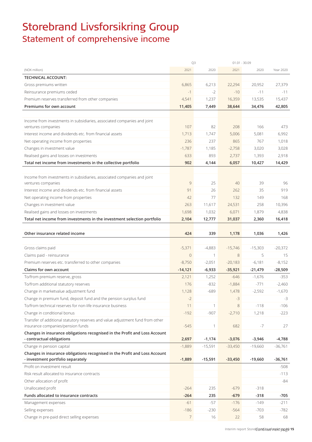# Storebrand Livsforsikring Group Statement of comprehensive income

|                                                                                                                 | Q3             |             | $01.01 - 30.09$ |           |           |
|-----------------------------------------------------------------------------------------------------------------|----------------|-------------|-----------------|-----------|-----------|
| (NOK million)                                                                                                   | 2021           | 2020        | 2021            | 2020      | Year 2020 |
| <b>TECHNICAL ACCOUNT:</b>                                                                                       |                |             |                 |           |           |
| Gross premiums written                                                                                          | 6,865          | 6,213       | 22,294          | 20,952    | 27,379    |
| Reinsurance premiums ceded                                                                                      | $-1$           | $-2$        | $-10$           | $-11$     | $-11$     |
| Premium reserves transferred from other companies                                                               | 4,541          | 1,237       | 16,359          | 13,535    | 15,437    |
| Premiums for own account                                                                                        | 11,405         | 7,449       | 38,644          | 34,476    | 42,805    |
|                                                                                                                 |                |             |                 |           |           |
| Income from investments in subsidiaries, associated companies and joint                                         |                |             |                 |           |           |
| ventures companies                                                                                              | 107            | 82          | 208             | 166       | 473       |
| Interest income and dividends etc. from financial assets                                                        | 1,713          | 1,747       | 5,006           | 5,081     | 6,992     |
| Net operating income from properties                                                                            | 236            | 237         | 865             | 767       | 1,018     |
| Changes in investment value                                                                                     | $-1,787$       | 1,185       | $-2,758$        | 3,020     | 3,028     |
| Realised gains and losses on investments                                                                        | 633            | 893         | 2,737           | 1,393     | 2,918     |
| Total net income from investments in the collective portfolio                                                   | 902            | 4,144       | 6,057           | 10,427    | 14,429    |
|                                                                                                                 |                |             |                 |           |           |
| Income from investments in subsidiaries, associated companies and joint                                         |                |             |                 |           |           |
| ventures companies                                                                                              | 9              | 25          | 40              | 39        | 96        |
| Interest income and dividends etc. from financial assets                                                        | 91             | 26          | 262             | 35        | 919       |
| Net operating income from properties                                                                            | 42             | 77          | 132             | 149       | 168       |
| Changes in investment value                                                                                     | 263            | 11,617      | 24,531          | 258       | 10,396    |
|                                                                                                                 |                |             |                 |           |           |
| Realised gains and losses on investments                                                                        | 1,698          | 1,032       | 6,071           | 1,879     | 4,838     |
| Total net income from investments in the investment selection portfolio                                         | 2,104          | 12,777      | 31,037          | 2,360     | 16,418    |
|                                                                                                                 |                |             |                 |           |           |
| Other insurance related income                                                                                  | 424            | 339         | 1,178           | 1,036     | 1,426     |
|                                                                                                                 |                |             |                 |           |           |
| Gross claims paid                                                                                               | $-5,371$       | $-4,883$    | $-15,746$       | $-15,303$ | $-20,372$ |
| Claims paid - reinsurance                                                                                       | $\mathbf 0$    | $\mathbf 1$ | $\,8\,$         | 5         | 15        |
| Premium reserves etc. transferred to other companies                                                            | $-8,750$       | $-2,051$    | $-20,183$       | $-6,181$  | $-8,152$  |
| Claims for own account                                                                                          | $-14,121$      | $-6,933$    | $-35,921$       | -21,479   | $-28,509$ |
| To/from premium reserve, gross                                                                                  | 2,121          | 1,252       | $-646$          | $-1,676$  | $-353$    |
| To/from additional statutory reserves                                                                           | 176            | $-832$      | $-1,884$        | $-771$    | $-2,460$  |
| Change in marketvalue adjustment fund                                                                           | 1,128          | $-689$      | 1,478           | $-2,592$  | $-1,670$  |
| Change in premium fund, deposit fund and the pension surplus fund                                               | $-2$           |             | $-3$            |           | $-3$      |
| To/from technical reserves for non-life insurance business                                                      | 11             | 1           | 8               | $-118$    | $-106$    |
| Change in conditional bonus                                                                                     | $-192$         | $-907$      | $-2,710$        | 1,218     | $-223$    |
| Transfer of additional statutory reserves and value adjustment fund from other                                  |                |             |                 |           |           |
| insurance companies/pension funds                                                                               | $-545$         | 1           | 682             | $-7$      | 27        |
| Changes in insurance obligations recognised in the Profit and Loss Account                                      |                |             |                 |           |           |
| - contractual obligations                                                                                       | 2,697          | $-1,174$    | $-3,076$        | $-3,946$  | $-4,788$  |
| Change in pension capital                                                                                       | $-1,889$       | $-15,591$   | $-33,450$       | $-19,660$ | $-36,761$ |
| Changes in insurance obligations recognised in the Profit and Loss Account<br>- investment portfolio separately | $-1,889$       | $-15,591$   | $-33,450$       | $-19,660$ | $-36,761$ |
| Profit on investment result                                                                                     |                |             |                 |           | -508      |
| Risk result allocated to insurance contracts                                                                    |                |             |                 |           | $-113$    |
| Other allocation of profit                                                                                      |                |             |                 |           | -84       |
| Unallocated profit                                                                                              | $-264$         | 235         | $-679$          | $-318$    |           |
| Funds allocated to insurance contracts                                                                          | $-264$         | 235         | $-679$          | $-318$    | $-705$    |
| Management expenses                                                                                             | $-61$          | $-57$       | $-176$          | $-149$    | $-211$    |
| Selling expenses                                                                                                | $-186$         | $-230$      | $-564$          | $-703$    | -782      |
| Change in pre-paid direct selling expenses                                                                      | $\overline{7}$ | 16          | 22              | 58        | 68        |
|                                                                                                                 |                |             |                 |           |           |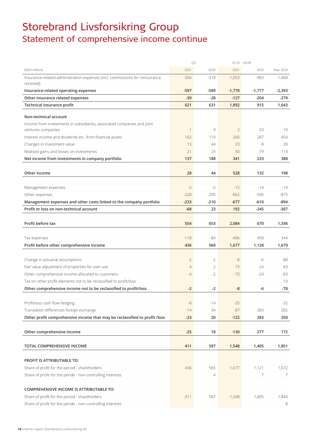# Storebrand Livsforsikring Group Statement of comprehensive income continue

|                                                                                               | Q3             |                |                | $01.01 - 30.09$ |           |
|-----------------------------------------------------------------------------------------------|----------------|----------------|----------------|-----------------|-----------|
| (NOK million)                                                                                 | 2021           | 2020           | 2021           | 2020            | Year 2020 |
| Insurance-related administration expenses (incl. commissions for reinsurance<br>received)     | $-356$         | $-318$         | $-1,053$       | $-983$          | $-1,468$  |
| Insurance-related operating expenses                                                          | $-597$         | -589           | $-1,770$       | $-1,777$        | $-2,393$  |
| Other insurance related expenses                                                              | $-39$          | $-28$          | $-127$         | $-204$          | -279      |
| Technical insurance profit                                                                    | 621            | 631            | 1,892          | 915             | 1,643     |
| Non-technical account                                                                         |                |                |                |                 |           |
| Income from investments in subsidiaries, associated companies and joint<br>ventures companies | $\mathbf 1$    | 9              | $\overline{2}$ | 33              | 19        |
| Interest income and dividends etc. from financial assets                                      | 102            | 110            | 266            | 287             | 454       |
| Changes in investment value                                                                   | 13             | 44             | 23             | $-8$            | 30        |
| Realised gains and losses on investments                                                      | 21             | 25             | 50             | $-79$           | $-114$    |
| Net income from investments in company portfolio                                              | 137            | 188            | 341            | 233             | 388       |
| Other income                                                                                  | 28             | 44             | 528            | 132             | 198       |
|                                                                                               |                |                |                |                 |           |
| Management expenses                                                                           | $-5$           | $-5$           | $-15$          | $-14$           | $-19$     |
| Other expenses                                                                                | $-228$         | $-205$         | $-662$         | $-596$          | $-875$    |
| Management expenses and other costs linked to the company portfolio                           | $-233$         | $-210$         | $-677$         | $-610$          | -894      |
| Profit or loss on non-technical account                                                       | $-68$          | 23             | 192            | $-245$          | -307      |
|                                                                                               |                |                |                |                 |           |
| Profit before tax                                                                             | 554            | 653            | 2,084          | 670             | 1,336     |
| Tax expenses                                                                                  | $-118$         | -84            | $-406$         | 458             | 344       |
| Profit before other comprehensive income                                                      | 436            | 569            | 1,677          | 1,128           | 1,679     |
|                                                                                               |                |                |                |                 |           |
| Change in actuarial assumptions                                                               | $-2$           | $-2$           | $-8$           | -6              | $-88$     |
| Fair value adjustment of properties for own use                                               | $\overline{4}$ | 2              | 73             | 24              | 83        |
| Other comprehensive income allocated to customers                                             | -4             | $-2$           | $-73$          | $-24$           | $-83$     |
| Tax on other profit elements not to be reclassified to profit/loss                            |                |                |                |                 | 10        |
| Other comprehensive income not to be reclassified to profit/loss                              | $-2$           | $-2$           | -8             | -6              | $-78$     |
|                                                                                               |                |                |                |                 |           |
| Profit/loss cash flow hedging                                                                 | $-8$           | $-14$          | $-35$          |                 | $-32$     |
| Translation differences foreign exchange                                                      | $-14$          | 34             | $-87$          | 283             | 282       |
| Other profit comprehensive income that may be reclassified to profit /loss                    | $-23$          | 20             | $-122$         | 283             | 250       |
|                                                                                               |                |                |                |                 |           |
| Other comprehensive income                                                                    | $-25$          | 18             | $-130$         | 277             | 172       |
|                                                                                               |                |                |                |                 |           |
| TOTAL COMPREHENSIVE INCOME                                                                    | 411            | 587            | 1,548          | 1,405           | 1,851     |
|                                                                                               |                |                |                |                 |           |
| PROFIT IS ATTRIBUTABLE TO:                                                                    |                |                |                |                 |           |
| Share of profit for the period - shareholders                                                 | 436            | 565            | 1,677          | 1,121           | 1,672     |
| Share of profit for the peride - non-controlling interests                                    |                | $\overline{4}$ |                | 7               | 7         |
|                                                                                               |                |                |                |                 |           |
| <b>COMPREHENSIVE INCOME IS ATTRIBUTABLE TO:</b>                                               |                |                |                |                 |           |
| Share of profit for the period - shareholders                                                 | 411            | 587            | 1,548          | 1,405           | 1,844     |
| Share of profit for the peride - non-controlling interests                                    |                |                |                |                 | 8         |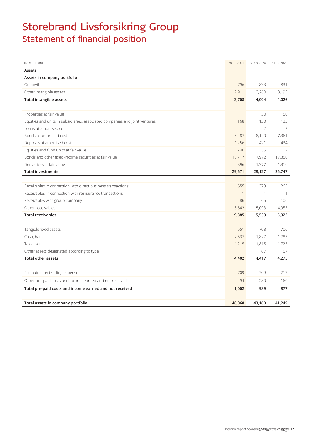# Storebrand Livsforsikring Group Statement of financial position

| (NOK million)                                                               | 30.09.2021   | 30.09.2020     | 31.12.2020     |
|-----------------------------------------------------------------------------|--------------|----------------|----------------|
| Assets                                                                      |              |                |                |
| Assets in company portfolio                                                 |              |                |                |
| Goodwill                                                                    | 796          | 833            | 831            |
| Other intangible assets                                                     | 2,911        | 3,260          | 3,195          |
| <b>Total intangible assets</b>                                              | 3,708        | 4,094          | 4,026          |
|                                                                             |              |                |                |
| Properties at fair value                                                    |              | 50             | 50             |
| Equities and units in subsidiaries, associated companies and joint ventures | 168          | 130            | 133            |
| Loans at amoritsed cost                                                     | $\mathbf{1}$ | $\overline{2}$ | 2              |
| Bonds at amortised cost                                                     | 8,287        | 8,120          | 7,361          |
| Deposits at amortised cost                                                  | 1,256        | 421            | 434            |
| Equities and fund units at fair value                                       | 246          | 55             | 102            |
| Bonds and other fixed-income securities at fair value                       | 18,717       | 17,972         | 17,350         |
| Derivatives at fair value                                                   | 896          | 1,377          | 1,316          |
| <b>Total investments</b>                                                    | 29,571       | 28,127         | 26,747         |
|                                                                             |              |                |                |
| Receivables in connection with direct business transactions                 | 655          | 373            | 263            |
| Receivables in connection with reinsurance transactions                     | $\mathbf{1}$ | $\mathbf{1}$   | $\overline{1}$ |
| Receivables with group company                                              | 86           | 66             | 106            |
| Other receivables                                                           | 8,642        | 5,093          | 4,953          |
| <b>Total receivables</b>                                                    | 9,385        | 5,533          | 5,323          |
|                                                                             |              |                |                |
| Tangible fixed assets                                                       | 651          | 708            | 700            |
| Cash, bank                                                                  | 2,537        | 1,827          | 1,785          |
| Tax assets                                                                  | 1,215        | 1,815          | 1,723          |
| Other assets designated according to type                                   |              | 67             | 67             |
| <b>Total other assets</b>                                                   | 4,402        | 4,417          | 4,275          |
|                                                                             |              |                |                |
| Pre-paid direct selling expenses                                            | 709          | 709            | 717            |
| Other pre-paid costs and income earned and not received                     | 294          | 280            | 160            |
| Total pre-paid costs and income earned and not received                     | 1,002        | 989            | 877            |
|                                                                             |              |                |                |
| Total assets in company portfolio                                           | 48,068       | 43,160         | 41,249         |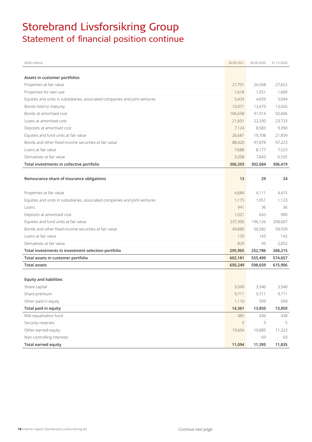# Storebrand Livsforsikring Group Statement of financial position continue

| (NOK million)                                                               | 30.09.2021 | 30.09.2020 | 31.12.2020 |
|-----------------------------------------------------------------------------|------------|------------|------------|
|                                                                             |            |            |            |
| Assets in customer portfolios                                               |            |            |            |
| Properties at fair value                                                    | 27,701     | 26,568     | 27,652     |
| Properties for own use                                                      | 1.618      | 1,551      | 1,609      |
| Equities and units in subsidiaries, associated companies and joint ventures | 5,433      | 4,659      | 5,044      |
| Bonds held to maturity                                                      | 10,071     | 13,473     | 13,026     |
| Bonds at amortised cost                                                     | 106,658    | 91,914     | 92,846     |
| Loans at amortised cost                                                     | 21,601     | 22,330     | 23,733     |
| Deposits at amortised cost                                                  | 7,124      | 8,583      | 9,390      |
| Equities and fund units at fair value                                       | 26,681     | 19,708     | 21,839     |
| Bonds and other fixed-income securities at fair value                       | 88,420     | 97,878     | 97,223     |
| Loans at fair value                                                         | 7,688      | 8,177      | 7,523      |
| Derivatives at fair value                                                   | 3,208      | 7,843      | 6,535      |
| Total investments in collective portfolio                                   | 306,203    | 302,684    | 306,419    |
|                                                                             |            |            |            |
| Reinsurance share of insurance obligations                                  | 13         | 29         | 24         |
|                                                                             |            |            |            |
| Properties at fair value                                                    | 4,684      | 4,111      | 4,415      |
| Equities and units in subsidiaries, associated companies and joint ventures | 1,175      | 1,051      | 1,123      |
| Loans                                                                       | 941        | 36         | 36         |
| Deposits at amortised cost                                                  | 1,021      | 643        | 900        |
| Equities and fund units at fair value                                       | 237,300    | 196,126    | 208,607    |
| Bonds and other fixed-income securities at fair value                       | 49,880     | 50,582     | 50,939     |
| Loans at fair value                                                         | 135        | 143        | 142        |
| Derivatives at fair value                                                   | 829        | 95         | 2,052      |
| Total investments in investment selection portfolio                         | 295,965    | 252,786    | 268,215    |
| Total assets in customer portfolio                                          | 602,181    | 555,499    | 574,657    |
| <b>Total assets</b>                                                         | 650,249    | 598,659    | 615,906    |
|                                                                             |            |            |            |
| <b>Equity and liabilities</b>                                               |            |            |            |
| Share capital                                                               | 3,540      | 3,540      | 3,540      |
| Share premium                                                               | 9,711      | 9,711      | 9,711      |
| Other paid in equity                                                        | 1,110      | 599        | 599        |
| Total paid in equity                                                        | 14,361     | 13,850     | 13,850     |
| Risk equalisation fund                                                      | 485        | 436        | 438        |
| Security reserves                                                           | 5          | 5          | 5          |
| Other earned equity                                                         | 10,604     | 10,885     | 11,323     |
| Non-controlling interests                                                   |            | 69         | 69         |
| <b>Total earned equity</b>                                                  | 11,094     | 11,395     | 11,835     |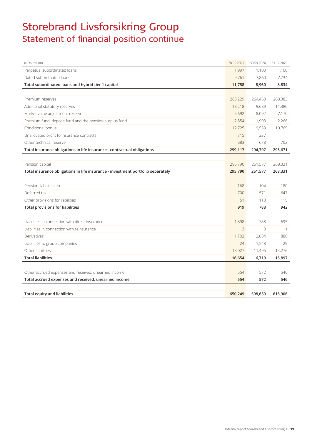# Storebrand Livsforsikring Group Statement of financial position continue

| (NOK million)                                                                   | 30.09.2021 | 30.09.2020 | 31.12.2020 |
|---------------------------------------------------------------------------------|------------|------------|------------|
| Perpetual subordinated loans                                                    | 1,997      | 1,100      | 1,100      |
| Dated subordinated loans                                                        | 9,761      | 7,860      | 7,734      |
| Total subordinated loans and hybrid tier 1 capital                              | 11,758     | 8,960      | 8,834      |
|                                                                                 |            |            |            |
| Premium reserves                                                                | 263,229    | 264,468    | 263,383    |
| Additional statutory reserves                                                   | 13,218     | 9,689      | 11,380     |
| Market value adjustment reserve                                                 | 5,692      | 8,092      | 7,170      |
| Premium fund, deposit fund and the pension surplus fund                         | 2,854      | 1,993      | 2,266      |
| Conditional bonus                                                               | 12,725     | 9,539      | 10,769     |
| Unallocated profit to insurance contracts                                       | 715        | 337        |            |
| Other technical reserve                                                         | 683        | 678        | 702        |
| Total insurance obligations in life insurance - contractual obligations         | 299,117    | 294,797    | 295,671    |
|                                                                                 |            |            |            |
| Pension capital                                                                 | 295,790    | 251,577    | 268,331    |
| Total insurance obligations in life insurance - investment portfolio separately | 295,790    | 251,577    | 268,331    |
|                                                                                 |            |            |            |
| Pension liabilities etc.                                                        | 168        | 104        | 180        |
| Deferred tax                                                                    | 700        | 571        | 647        |
| Other provisions for liabilities                                                | 51         | 113        | 115        |
| <b>Total provisions for liabilities</b>                                         | 919        | 788        | 942        |
|                                                                                 |            |            |            |
| Liabilities in connection with direct insurance                                 | 1,898      | 788        | 695        |
| Liabilities in connection with reinsurance                                      | 3          | 3          | 11         |
| Derivatives                                                                     | 1,702      | 2,884      | 886        |
| Liabilities to group companies                                                  | 24         | 1,548      | 29         |
| Other liabilities                                                               | 13,027     | 11,495     | 14,276     |
| <b>Total liabilities</b>                                                        | 16,654     | 16,719     | 15,897     |
|                                                                                 |            |            |            |
| Other accrued expenses and received, unearned income                            | 554        | 572        | 546        |
| Total accrued expenses and received, unearned income                            | 554        | 572        | 546        |
|                                                                                 |            |            |            |
| <b>Total equity and liabilities</b>                                             | 650.249    | 598,659    | 615,906    |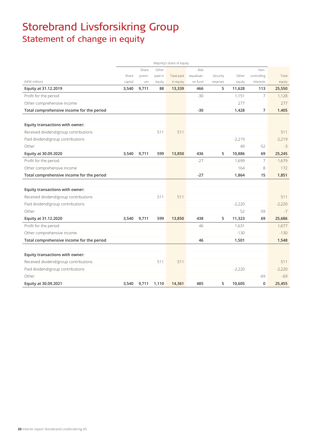# Storebrand Livsforsikring Group Statement of change in equity

|                                           |         |        |         | Majority's share of equity |             |          |          |                |          |
|-------------------------------------------|---------|--------|---------|----------------------------|-------------|----------|----------|----------------|----------|
|                                           |         | Share  | Other   |                            | Risk        |          |          | Non-           |          |
|                                           | Share   | premi- | paid in | Total paid                 | equalisati- | Security | Other    | controlling    | Total    |
| (NOK million)                             | capital | um     | equity  | in equity                  | on fund     | reserves | equity   | interests      | equity   |
| Equity at 31.12.2019                      | 3,540   | 9,711  | 88      | 13,339                     | 466         | 5        | 11,628   | 113            | 25,550   |
| Profit for the period                     |         |        |         |                            | $-30$       |          | 1,151    | 7              | 1,128    |
| Other comprehensive income                |         |        |         |                            |             |          | 277      |                | 277      |
| Total comprehensive income for the period |         |        |         |                            | $-30$       |          | 1,428    | $\overline{7}$ | 1,405    |
|                                           |         |        |         |                            |             |          |          |                |          |
| Equity transactions with owner:           |         |        |         |                            |             |          |          |                |          |
| Received dividend/group contributions     |         |        | 511     | 511                        |             |          |          |                | 511      |
| Paid dividend/group contributions         |         |        |         |                            |             |          | $-2,219$ |                | $-2,219$ |
| Other                                     |         |        |         |                            |             |          | 49       | $-52$          | $-3$     |
| Equity at 30.09.2020                      | 3,540   | 9,711  | 599     | 13,850                     | 436         | 5        | 10,886   | 69             | 25,245   |
| Profit for the period                     |         |        |         |                            | $-27$       |          | 1,699    | 7              | 1,679    |
| Other comprehensive income                |         |        |         |                            |             |          | 164      | 8              | 172      |
| Total comprehensive income for the period |         |        |         |                            | $-27$       |          | 1,864    | 15             | 1,851    |
|                                           |         |        |         |                            |             |          |          |                |          |
| Equity transactions with owner:           |         |        |         |                            |             |          |          |                |          |
| Received dividend/group contributions     |         |        | 511     | 511                        |             |          |          |                | 511      |
| Paid dividend/group contributions         |         |        |         |                            |             |          | $-2,220$ |                | $-2,220$ |
| Other                                     |         |        |         |                            |             |          | 52       | $-59$          | $-7$     |
| Equity at 31.12.2020                      | 3,540   | 9,711  | 599     | 13,850                     | 438         | 5        | 11,323   | 69             | 25,686   |
| Profit for the period                     |         |        |         |                            | 46          |          | 1,631    |                | 1,677    |
| Other comprehensive income                |         |        |         |                            |             |          | $-130$   |                | $-130$   |
| Total comprehensive income for the period |         |        |         |                            | 46          |          | 1,501    |                | 1,548    |
|                                           |         |        |         |                            |             |          |          |                |          |
| Equity transactions with owner:           |         |        |         |                            |             |          |          |                |          |
| Received dividend/group contributions     |         |        | 511     | 511                        |             |          |          |                | 511      |
| Paid dividend/group contributions         |         |        |         |                            |             |          | $-2,220$ |                | $-2,220$ |
| Other                                     |         |        |         |                            |             |          |          | $-69$          | $-69$    |
| Equity at 30.09.2021                      | 3,540   | 9,711  | 1,110   | 14,361                     | 485         | 5        | 10,605   | $\mathbf 0$    | 25,455   |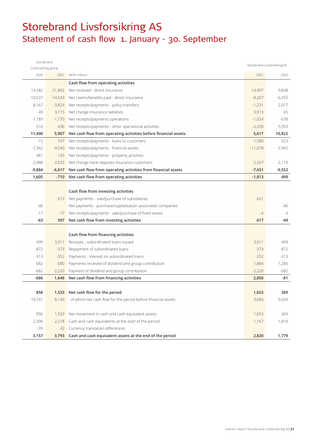# Storebrand Livsforsikring AS Statement of cash flow 1. January - 30. September

| Storebrand           |           |                                                                 |           | Storebrand Livsforsikring AS |
|----------------------|-----------|-----------------------------------------------------------------|-----------|------------------------------|
| Livsforsikring group |           |                                                                 |           |                              |
| 2020                 | 2021      | (NOK million)                                                   | 2021      | 2020                         |
|                      |           | Cash flow from operating activities                             |           |                              |
| 14,582               | 21,892    | Net received - direct insurance                                 | 14.497    | 9,848                        |
| $-10,537$            | $-14,543$ | Net claims/benefits paid - direct insurance                     | $-8,207$  | $-6,555$                     |
| 8,167                | $-3,824$  | Net receipts/payments - policy transfers                        | $-1,231$  | 2,017                        |
| -49                  | 3,715     | Net change insurance liabilities                                | 3,913     | 65                           |
| $-1,189$             | $-1,770$  | Net receipts/payments operations                                | $-1,024$  | $-678$                       |
| 516                  | 436       | Net receipts/payments - other operational activities            | $-2,330$  | 5,353                        |
| 11,490               | 5,907     | Net cash flow from operating activities before financial assets | 5,617     | 10,822                       |
| $-15$                | 747       | Net receipts/payments - loans to customers                      | 1,380     | 523                          |
| $-7,362$             | $-9,540$  | Net receipts/payments - financial assets                        | $-11,078$ | $-7,965$                     |
| 481                  | 145       | Net receipts/payments - property activities                     |           |                              |
| $-2,988$             | 2,032     | Net change bank deposits insurance customers                    | 2,267     | $-2,110$                     |
| $-9,884$             | $-6,617$  | Net cash flow from operating activities from financial assets   | $-7,431$  | $-9,552$                     |
| 1,605                | $-710$    | Net cash flow from operating activities                         | $-1,813$  | 499                          |
|                      |           |                                                                 |           |                              |
|                      |           | Cash flow from investing activities                             |           |                              |
|                      |           | 613 Net payments - sale/purchase of subsidiaries                | 621       |                              |
| -46                  |           | Net payments - purchase/capitalisation associated companies     |           | -46                          |
| $-17$                | $-17$     | Net receipts/payments - sale/purchase of fixed assets           | $-4$      | $-3$                         |
| $-63$                | 597       | Net cash flow from investing activities                         | 617       | -49                          |
|                      |           |                                                                 |           |                              |
|                      |           | Cash flow from financing activities                             |           |                              |
| 499                  | 3,911     | Receipts - subordinated loans issued                            | 3,911     | 499                          |
| $-872$               | $-373$    | Repayment of subordinated loans                                 | $-373$    | $-872$                       |
| $-313$               | $-352$    | Payments - interest on subordinated loans                       | $-352$    | $-313$                       |
| 682                  | 680       | Payments received of dividend and group contribution            | 1,884     | 1,286                        |
| $-682$               | $-2,220$  | Payment of dividend and group contribution                      | $-2,220$  | $-682$                       |
| -686                 | 1,646     | Net cash flow from financing activities                         | 2,850     | -81                          |
|                      |           |                                                                 |           |                              |
| 856                  |           | 1,533 Net cash flow for the period                              | 1,653     | 369                          |
| 10,741               | 8,149     | of which net cash flow for the period before financial assets   | 9,084     | 9,920                        |
|                      |           |                                                                 |           |                              |
| 856                  | 1,533     | Net movement in cash and cash equivalent assets                 | 1,653     | 369                          |
| 2,396                | 2,218     | Cash and cash equivalents at the start of the period            | 1,167     | 1,410                        |
| $-95$                | 42        | Currency translation differences                                |           |                              |
| 3,157                | 3,793     | Cash and cash equivalent assets at the end of the period        | 2,820     | 1,779                        |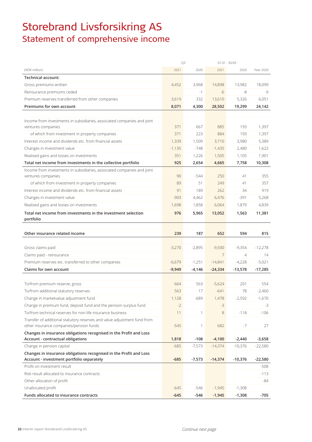# Storebrand Livsforsikring AS Statement of comprehensive income

|                                                                                                         | Q3       |          | $01.01 - 30.09$ |                |           |
|---------------------------------------------------------------------------------------------------------|----------|----------|-----------------|----------------|-----------|
| (NOK million)                                                                                           | 2021     | 2020     | 2021            | 2020           | Year 2020 |
| <b>Technical account:</b>                                                                               |          |          |                 |                |           |
| Gross premiums written                                                                                  | 4,452    | 3,968    | 14,898          | 13,982         | 18,099    |
| Reinsurance premiums ceded                                                                              |          | $-1$     | -6              | -8             | $-9$      |
| Premium reserves transferred from other companies                                                       | 3,619    | 332      | 13,610          | 5,326          | 6,051     |
| Premiums for own account                                                                                | 8,071    | 4,300    | 28,502          | 19,299         | 24,142    |
|                                                                                                         |          |          |                 |                |           |
| Income from investments in subsidiaries, associated companies and joint                                 |          |          |                 |                |           |
| ventures companies                                                                                      | 371      | 667      | 885             | 193            | 1,397     |
| of which from investment in property companies                                                          | 371      | 223      | 884             | 193            | 1,397     |
| Interest income and dividends etc. from financial assets                                                | 1,339    | 1,509    | 3,710           | 3,980          | 5,389     |
| Changes in investment value                                                                             | $-1,135$ | $-748$   | $-1,435$        | 2,480          | 1,622     |
| Realised gains and losses on investments                                                                | 351      | 1,226    | 1,505           | 1,105          | 1,901     |
| Total net income from investments in the collective portfolio                                           | 925      | 2,654    | 4,665           | 7,758          | 10,308    |
| Income from investments in subsidiaries, associated companies and joint                                 |          |          |                 |                |           |
| ventures companies                                                                                      | 90       | $-544$   | 250             | 41             | 355       |
| of which from investment in property companies                                                          | 89       | 51       | 249             | 41             | 357       |
| Interest income and dividends etc. from financial assets                                                | 91       | 189      | 262             | 34             | 919       |
| Changes in investment value                                                                             | $-903$   | 4,462    | 6,476           | $-391$         | 5,268     |
| Realised gains and losses on investments                                                                | 1,698    | 1,858    | 6,064           | 1,879          | 4,839     |
| Total net income from investments in the investment selection<br>portfolio                              | 976      | 5,965    | 13,052          | 1,563          | 11,381    |
|                                                                                                         |          |          |                 |                |           |
|                                                                                                         |          |          |                 |                |           |
| Other insurance related income                                                                          | 239      | 187      | 652             | 594            | 815       |
|                                                                                                         |          |          |                 |                |           |
| Gross claims paid                                                                                       | $-3,270$ | $-2,895$ | $-9,500$        | $-9,354$       | $-12,278$ |
| Claims paid - reinsurance                                                                               |          |          | $\overline{7}$  | $\overline{4}$ | 14        |
| Premium reserves etc. transferred to other companies                                                    | $-6,679$ | $-1,251$ | $-14,841$       | $-4,228$       | $-5,021$  |
| Claims for own account                                                                                  | $-9,949$ | $-4,146$ | $-24,334$       | $-13,578$      | $-17,285$ |
|                                                                                                         |          |          |                 |                |           |
| To/from premium reserve, gross                                                                          | 664      | 563      | $-5,624$        | 201            | 554       |
| To/from additional statutory reserves                                                                   | 563      | 17       | $-641$          | 78             | $-2,460$  |
| Change in marketvalue adjustment fund                                                                   | 1,128    | $-689$   | 1,478           | $-2,592$       | $-1,670$  |
| Change in premium fund, deposit fund and the pension surplus fund                                       | $-2$     |          | $-3$            |                | -3        |
| To/from technical reserves for non-life insurance business                                              | 11       | 1        | 8               | $-118$         | $-106$    |
| Transfer of additional statutory reserves and value adjustment fund from                                | $-545$   | 1        | 682             | $-7$           | 27        |
| other insurance companies/pension funds                                                                 |          |          |                 |                |           |
| Changes in insurance obligations recognised in the Profit and Loss<br>Account - contractual obligations | 1,818    | $-108$   | $-4,100$        | $-2,440$       | $-3,658$  |
| Change in pension capital                                                                               | $-685$   | $-7,573$ | $-14,374$       | $-10,376$      | $-22,580$ |
| Changes in insurance obligations recognised in the Profit and Loss                                      |          |          |                 |                |           |
| Account - investment portfolio separately                                                               | $-685$   | $-7,573$ | $-14,374$       | $-10,376$      | $-22,580$ |
| Profit on investment result                                                                             |          |          |                 |                | -508      |
| Risk result allocated to insurance contracts                                                            |          |          |                 |                | $-113$    |
| Other allocation of profit                                                                              |          |          |                 |                | -84       |
| Unallocated profit                                                                                      | $-645$   | -546     | $-1,945$        | $-1,308$       |           |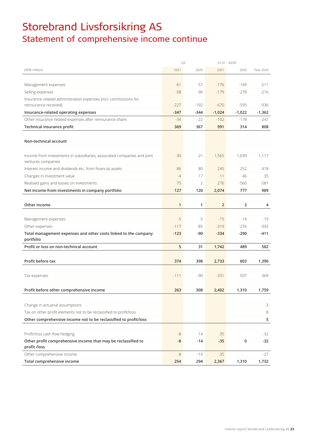# Storebrand Livsforsikring AS Statement of comprehensive income continue

|                                                                                               |              | Q3     |                | $01.01 - 30.09$ |           |
|-----------------------------------------------------------------------------------------------|--------------|--------|----------------|-----------------|-----------|
| (NOK million)                                                                                 | 2021         | 2020   | 2021           | 2020            | Year 2020 |
|                                                                                               |              |        |                |                 |           |
| Management expenses                                                                           | $-61$        | $-57$  | $-176$         | $-149$          | $-211$    |
| Selling expenses                                                                              | $-58$        | $-96$  | $-179$         | $-278$          | $-216$    |
| Insurance-related administration expenses (incl. commissions for                              |              |        |                |                 |           |
| reinsurance received)                                                                         | $-227$       | $-192$ | $-670$         | $-595$          | $-936$    |
| Insurance-related operating expenses                                                          | $-347$       | $-344$ | $-1,024$       | $-1,022$        | $-1,362$  |
| Other insurance related expenses after reinsurance share                                      | $-34$        | $-22$  | $-102$         | $-178$          | -247      |
| Technical insurance profit                                                                    | 369          | 367    | 991            | 314             | 808       |
|                                                                                               |              |        |                |                 |           |
| Non-technical account                                                                         |              |        |                |                 |           |
|                                                                                               |              |        |                |                 |           |
| Income from investments in subsidiaries, associated companies and joint<br>ventures companies | $-30$        | 21     | 1,565          | 1,039           | 1,117     |
| Interest income and dividends etc. from financial assets                                      | 86           | 80     | 245            | 252             | 418       |
| Changes in investment value                                                                   | $-4$         | 17     | $-11$          | 46              | 35        |
| Realised gains and losses on investments                                                      | 75           | 2      | 276            | $-560$          | $-581$    |
| Net income from investments in company portfolio                                              | 127          | 120    | 2,074          | 777             | 989       |
|                                                                                               |              |        |                |                 |           |
| Other income                                                                                  | $\mathbf{1}$ | 1      | $\overline{2}$ | 2               | 4         |
|                                                                                               |              |        |                |                 |           |
| Management expenses                                                                           | $-5$         | $-5$   | $-15$          | $-14$           | $-19$     |
| Other expenses                                                                                | $-117$       | -85    | $-319$         | $-276$          | $-392$    |
| Total management expenses and other costs linked to the company                               | $-123$       | -90    | $-334$         | $-290$          | $-411$    |
| portfolio                                                                                     |              |        |                |                 |           |
| Profit or loss on non-technical account                                                       | 5            | 31     | 1,742          | 489             | 582       |
|                                                                                               |              |        |                |                 |           |
| Profit before tax                                                                             | 374          | 398    | 2,733          | 803             | 1,390     |
|                                                                                               |              |        |                |                 |           |
| Tax expenses                                                                                  | $-111$       | $-90$  | $-331$         | 507             | 369       |
|                                                                                               |              |        |                |                 |           |
| Profit before other comprehensive income                                                      | 263          | 308    | 2,402          | 1,310           | 1,759     |
|                                                                                               |              |        |                |                 |           |
| Change in actuarial assumptions                                                               |              |        |                |                 | $-3$      |
| Tax on other profit elements not to be reclassified to profit/loss                            |              |        |                |                 | 8         |
| Other comprehensive income not to be reclassified to profit/loss                              |              |        |                |                 | 5         |
|                                                                                               |              |        |                |                 |           |
| Profit/loss cash flow hedging                                                                 | -8           | $-14$  | $-35$          |                 | $-32$     |
| Other profit comprehensive income that may be reclassified to<br>profit /loss                 | -8           | -14    | $-35$          | 0               | $-32$     |
| Other comprehensive income                                                                    | $-8$         | $-14$  | $-35$          |                 | $-27$     |
| Total comprehensive income                                                                    | 254          | 294    | 2,367          | 1,310           | 1,732     |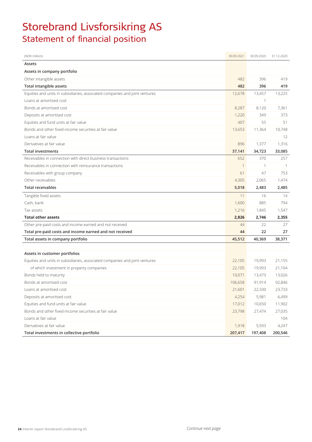# Storebrand Livsforsikring AS Statement of financial position

| (NOK million)                                                               | 30.09.2021 | 30.09.2020   | 31.12.2020 |
|-----------------------------------------------------------------------------|------------|--------------|------------|
| Assets                                                                      |            |              |            |
| Assets in company portfolio                                                 |            |              |            |
| Other intangible assets                                                     | 482        | 396          | 419        |
| Total intangible assets                                                     | 482        | 396          | 419        |
| Equities and units in subsidiaries, associated companies and joint ventures | 12,678     | 13,457       | 13,225     |
| Loans at amortised cost                                                     |            |              |            |
| Bonds at amortised cost                                                     | 8,287      | 8,120        | 7,361      |
| Deposits at amoritsed cost                                                  | 1,220      | 349          | 373        |
| Equities and fund units at fair value                                       | 407        | 55           | 51         |
| Bonds and other fixed-income securities at fair value                       | 13,653     | 11,364       | 10,748     |
| Loans at fair value                                                         |            |              | 12         |
| Derivatives at fair value                                                   | 896        | 1,377        | 1,316      |
| <b>Total investments</b>                                                    | 37,141     | 34,723       | 33,085     |
| Receivables in connection with direct business transactions                 | 652        | 370          | 257        |
| Receivables in connection with reinsurance transactions                     | 1          | $\mathbf{1}$ | -1         |
| Receivables with group company                                              | 61         | 47           | 753        |
| Other receivables                                                           | 4,305      | 2,065        | 1,474      |
| <b>Total receivables</b>                                                    | 5,018      | 2,483        | 2,485      |
| Tangible fixed assets                                                       | 11         | 16           | 14         |
| Cash, bank                                                                  | 1,600      | 885          | 794        |
| Tax assets                                                                  | 1,216      | 1,845        | 1,547      |
| <b>Total other assets</b>                                                   | 2,826      | 2,746        | 2,355      |
| Other pre-paid costs and income earned and not received                     | 44         | 22           | 27         |
| Total pre-paid costs and income earned and not received                     | 44         | 22           | 27         |
| Total assets in company portfolio                                           | 45,512     | 40,369       | 38,371     |
|                                                                             |            |              |            |
| Assets in customer portfolios                                               |            |              |            |
| Equities and units in subsidiaries, associated companies and joint ventures | 22,105     | 19,993       | 21,155     |
| of which investment in property companies                                   | 22,105     | 19,993       | 21,104     |
| Bonds held to maturity                                                      | 10,071     | 13,473       | 13,026     |
| Bonds at amortised cost                                                     | 106,658    | 91,914       | 92,846     |
| Loans at amoritsed cost                                                     | 21,601     | 22,330       | 23,733     |
| Deposits at amoritsed cost                                                  | 4,254      | 5,981        | 6,499      |
| Equities and fund units at fair value                                       | 17,012     | 10,650       | 11,902     |
| Bonds and other fixed-income securities at fair value                       | 23,798     | 27,474       | 27,035     |
| Loans at fair value                                                         |            |              | 104        |
| Derivatives at fair value                                                   | 1,918      | 5,593        | 4,247      |
| Total investments in collective portfolio                                   | 207,417    | 197,408      | 200,546    |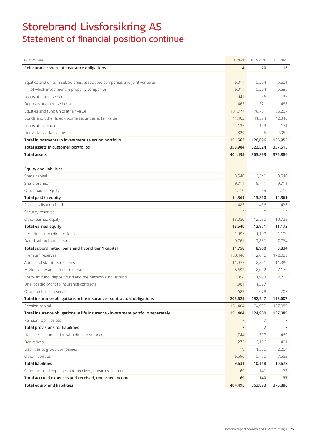# Storebrand Livsforsikring AS Statement of financial position continue

| (NOK million)                                                                   | 30.09.2021 | 30.09.2020 | 31.12.2020 |
|---------------------------------------------------------------------------------|------------|------------|------------|
| Reinsurance share of insurance obligations                                      | 4          | 20         | 15         |
|                                                                                 |            |            |            |
| Equities and units in subsidiaries, associated companies and joint ventures     | 6,014      | 5,204      | 5,601      |
| of which investment in property companies                                       | 6,014      | 5,204      | 5,586      |
| Loans at amoritsed cost                                                         | 941        | 36         | 36         |
| Deposits at amoritsed cost                                                      | 465        | 321        | 488        |
| Equities and fund units at fair value                                           | 101.777    | 78,701     | 86,267     |
| Bonds and other fixed-income securities at fair value                           | 41,402     | 41,594     | 42,340     |
| Loans at fair value                                                             | 135        | 143        | 171        |
| Derivatives at fair value                                                       | 829        | 95         | 2,052      |
| Total investments in investment selection portfolio                             | 151,563    | 126,096    | 136,955    |
| Total assets in customer portfolios                                             | 358,984    | 323,524    | 337,515    |
| <b>Total assets</b>                                                             | 404,495    | 363,893    | 375,886    |
|                                                                                 |            |            |            |
| <b>Equity and liabilities</b>                                                   |            |            |            |
| Share capital                                                                   | 3,540      | 3,540      | 3,540      |
| Share premium                                                                   | 9,711      | 9,711      | 9,711      |
| Other paid in equity                                                            | 1,110      | 599        | 1,110      |
| Total paid in equity                                                            | 14,361     | 13,850     | 14,361     |
| Risk equalisation fund                                                          | 485        | 436        | 438        |
| Security reserves                                                               | 5          | 5          | 5          |
| Other earned equity                                                             | 13,050     | 12,530     | 10,729     |
| Total earned equity                                                             | 13,540     | 12,971     | 11,172     |
| Perpetual subordinated loans                                                    | 1,997      | 1,100      | 1,100      |
| Dated subordinated loans                                                        | 9,761      | 7,860      | 7,734      |
| Total subordinated loans and hybrid tier 1 capital                              | 11,758     | 8,960      | 8,834      |
| Premium reserves                                                                | 180,440    | 172,016    | 172,089    |
| Additional statutory reserves                                                   | 11,975     | 8,841      | 11,380     |
| Market value adjustment reserve                                                 | 5,692      | 8,092      | 7,170      |
| Premium fund, deposit fund and the pension surplus fund                         | 2,854      | 1,993      | 2,266      |
| Unallocated profit to insurance contracts                                       | 1,981      | 1,327      |            |
| Other technical reserve                                                         | 683        | 678        | 702        |
| Total insurance obligations in life insurance - contractual obligations         | 203,625    | 192,947    | 193,607    |
| Pension capital                                                                 | 151,404    | 124,900    | 137,089    |
| Total insurance obligations in life insurance - investment portfolio separately | 151,404    | 124,900    | 137,089    |
| Pension liabilities etc.                                                        | 7          | 7          | 7          |
| <b>Total provisions for liabilities</b>                                         | 7          | 7          | 7          |
| Liabilities in connection with direct insurance                                 | 1,744      | 597        | 469        |
| Derivatives                                                                     | 1,273      | 2,196      | 401        |
| Liabilities to group companies                                                  | 19         | 1,555      | 2,254      |
| Other liabilities                                                               | 6,596      | 5,770      | 7,553      |
| <b>Total liabilities</b>                                                        | 9,631      | 10,118     | 10,678     |
| Other accrued expenses and received, unearned income                            | 169        | 140        | 137        |
| Total accrued expenses and received, unearned income                            | 169        | 140        | 137        |
| <b>Total equity and liabilities</b>                                             | 404,495    | 363,893    | 375,886    |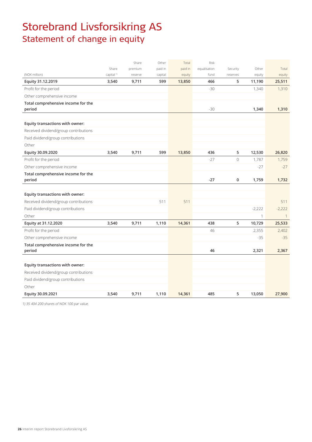# Storebrand Livsforsikring AS Statement of change in equity

|                                              |                       | Share   | Other   | Total   | Risk         |                |              |              |
|----------------------------------------------|-----------------------|---------|---------|---------|--------------|----------------|--------------|--------------|
|                                              | Share                 | premium | paid in | paid in | equalisation | Security       | Other        | Total        |
| (NOK million)                                | capital <sup>1)</sup> | reserve | capital | equity  | fund         | reserves       | equity       | equity       |
| Equity 31.12.2019                            | 3,540                 | 9,711   | 599     | 13,850  | 466          | 5              | 11,190       | 25,511       |
| Profit for the period                        |                       |         |         |         | $-30$        |                | 1,340        | 1,310        |
| Other comprehensive income                   |                       |         |         |         |              |                |              |              |
| Total comprehensive income for the<br>period |                       |         |         |         | $-30$        |                | 1,340        | 1,310        |
|                                              |                       |         |         |         |              |                |              |              |
| Equity transactions with owner:              |                       |         |         |         |              |                |              |              |
| Received dividend/group contributions        |                       |         |         |         |              |                |              |              |
| Paid dividend/group contributions            |                       |         |         |         |              |                |              |              |
| Other                                        |                       |         |         |         |              |                |              |              |
| Equity 30.09.2020                            | 3,540                 | 9,711   | 599     | 13,850  | 436          | 5              | 12,530       | 26,820       |
| Profit for the period                        |                       |         |         |         | $-27$        | $\overline{0}$ | 1,787        | 1,759        |
| Other comprehensive income                   |                       |         |         |         |              |                | $-27$        | $-27$        |
| Total comprehensive income for the           |                       |         |         |         |              |                |              |              |
| period                                       |                       |         |         |         | $-27$        | $\pmb{0}$      | 1,759        | 1,732        |
|                                              |                       |         |         |         |              |                |              |              |
| Equity transactions with owner:              |                       |         |         |         |              |                |              |              |
| Received dividend/group contributions        |                       |         | 511     | 511     |              |                |              | 511          |
| Paid dividend/group contributions            |                       |         |         |         |              |                | $-2,222$     | $-2,222$     |
| Other                                        |                       |         |         |         |              |                | $\mathbf{1}$ | $\mathbf{1}$ |
| Equity at 31.12.2020                         | 3,540                 | 9,711   | 1,110   | 14,361  | 438          | 5              | 10,729       | 25,533       |
| Profit for the period                        |                       |         |         |         | 46           |                | 2,355        | 2,402        |
| Other comprehensive income                   |                       |         |         |         |              |                | $-35$        | $-35$        |
| Total comprehensive income for the           |                       |         |         |         |              |                |              |              |
| period                                       |                       |         |         |         | 46           |                | 2,321        | 2,367        |
|                                              |                       |         |         |         |              |                |              |              |
| Equity transactions with owner:              |                       |         |         |         |              |                |              |              |
| Received dividend/group contributions        |                       |         |         |         |              |                |              |              |
| Paid dividend/group contributions            |                       |         |         |         |              |                |              |              |
| Other                                        |                       |         |         |         |              |                |              |              |
| Equity 30.09.2021                            | 3,540                 | 9,711   | 1,110   | 14,361  | 485          | 5              | 13,050       | 27,900       |

1) 35 404 200 shares of NOK 100 par value.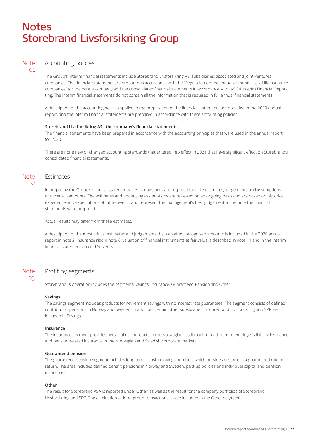### **Notes** Storebrand Livsforsikring Group



### Accounting policies

The Group's interim financial statements include Storebrand Livsforsikring AS, subsidiaries, associated and joint-ventures companies. The financial statements are prepared in accordance with the "Regulation on the annual accounts etc. of lifeinsurance companies" for the parent company and the consolidated financial statements in accordance with IAS 34 Interim Financial Reporting. The interim financial statements do not contain all the information that is required in full annual financial statements.

A description of the accounting policies applied in the preparation of the financial statements are provided in the 2020 annual report, and the interim financial statements are prepared in accordance with these accounting policies.

#### **Storebrand Livsforsikring AS - the company's financial statements**

The financial statements have been prepared in accordance with the accounting principles that were used in the annual report for 2020.

There are none new or changed accounting standards that entered into effect in 2021 that have significant effect on Storebrand's consolidated financial statements.

#### Note  $\Omega$

### Estimates

In preparing the Group's financial statements the management are required to make estimates, judgements and assumptions of uncertain amounts. The estimates and underlying assumptions are reviewed on an ongoing basis and are based on historical experience and expectations of future events and represent the management's best judgement at the time the financial statements were prepared.

Actual results may differ from these estimates.

A description of the most critical estimates and judgements that can affect recognised amounts is included in the 2020 annual report in note 2, insurance risk in note 6, valuation of financial instruments at fair value is described in note 11 and in the interim financial statements note 9 Solvency II.

#### Note 03

### Profit by segments

Storebrand´s operation includes the segments Savings, Insurance, Guaranteed Pension and Other.

#### **Savings**

The savings segment includes products for retirement savings with no interest rate guarantees. The segment consists of defined contribution pensions in Norway and Sweden. In addition, certain other subsidiaries in Storebrand Livsforsikring and SPP are included in Savings.

#### **Insurance**

The insurance segment provides personal risk products in the Norwegian retail market in addition to employer's liability insurance and pension-related insurance in the Norwegian and Swedish corporate markets.

#### **Guaranteed pension**

The guaranteed pension segment includes long-term pension savings products which provides customers a guaranteed rate of return. The area includes defined benefit pensions in Norway and Sweden, paid-up policies and individual capital and pension insurances.

#### **Other**

The result for Storebrand ASA is reported under Other, as well as the result for the company portfolios of Storebrand Livsforsikring and SPP. The elimination of intra-group transactions is also included in the Other segment.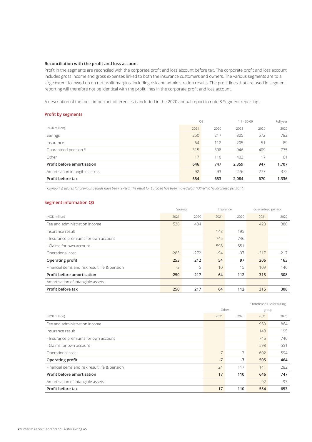#### **Reconciliation with the profit and loss account**

Profit in the segments are reconciled with the corporate profit and loss account before tax. The corporate profit and loss account includes gross income and gross expenses linked to both the insurance customers and owners. The various segments are to a large extent followed up on net profit margins, including risk and administration results. The profit lines that are used in segment reporting will therefore not be identical with the profit lines in the corporate profit and loss account.

A description of the most important differences is included in the 2020 annual report in note 3 Segment reporting.

#### **Profit by segments**

|                                   | Q3    |      | $1.1 - 30.09$ |        | Full year |
|-----------------------------------|-------|------|---------------|--------|-----------|
| (NOK million)                     | 2021  | 2020 | 2021          | 2020   | 2020      |
| Savings                           | 250   | 217  | 805           | 572    | 782       |
| Insurance                         | 64    | 112  | 205           | $-51$  | 89        |
| Guaranteed pension <sup>1)</sup>  | 315   | 308  | 946           | 409    | 775       |
| Other                             | 17    | 110  | 403           | 17     | 61        |
| <b>Profit before amortisation</b> | 646   | 747  | 2,359         | 947    | 1,707     |
| Amortisation intangible assets    | $-92$ | -93  | $-276$        | $-277$ | $-372$    |
| Profit before tax                 | 554   | 653  | 2,084         | 670    | 1,336     |

1) *Comparing figures for previous periods have been revised. The result for Euroben has been moved from "Other" to "Guaranteed pension".*

#### **Segment information Q3**

|                                                | Savings<br>Insurance |        |                 |        | Guaranteed pension |        |
|------------------------------------------------|----------------------|--------|-----------------|--------|--------------------|--------|
| (NOK million)                                  | 2021                 | 2020   | 2021            | 2020   | 2021               | 2020   |
| Fee and administration income                  | 536                  | 484    |                 |        | 423                | 380    |
| Insurance result                               |                      |        | 148             | 195    |                    |        |
| - Insurance premiums for own account           |                      |        | 745             | 746    |                    |        |
| - Claims for own account                       |                      |        | $-598$          | $-551$ |                    |        |
| Operational cost                               | $-283$               | $-272$ | $-94$           | -97    | $-217$             | $-217$ |
| Operating profit                               | 253                  | 212    | 54              | 97     | 206                | 163    |
| Financial items and risk result life & pension | $-3$                 | 5      | 10 <sup>°</sup> | 15     | 109                | 146    |
| Profit before amortisation                     | 250                  | 217    | 64              | 112    | 315                | 308    |
| Amortisation of intangible assets              |                      |        |                 |        |                    |        |
| Profit before tax                              | 250                  | 217    | 64              | 112    | 315                | 308    |

|                                                |       |      | Storebrand Livsforsikring |        |
|------------------------------------------------|-------|------|---------------------------|--------|
|                                                | Other |      | group                     |        |
| (NOK million)                                  | 2021  | 2020 | 2021                      | 2020   |
| Fee and administration income                  |       |      | 959                       | 864    |
| Insurance result                               |       |      | 148                       | 195    |
| - Insurance premiums for own account           |       |      | 745                       | 746    |
| - Claims for own account                       |       |      | $-598$                    | $-551$ |
| Operational cost                               | $-7$  | $-7$ | $-602$                    | $-594$ |
| <b>Operating profit</b>                        | $-7$  | $-7$ | 505                       | 464    |
| Financial items and risk result life & pension | 24    | 117  | 141                       | 282    |
| Profit before amortisation                     | 17    | 110  | 646                       | 747    |
| Amortisation of intangible assets              |       |      | $-92$                     | -93    |
| Profit before tax                              | 17    | 110  | 554                       | 653    |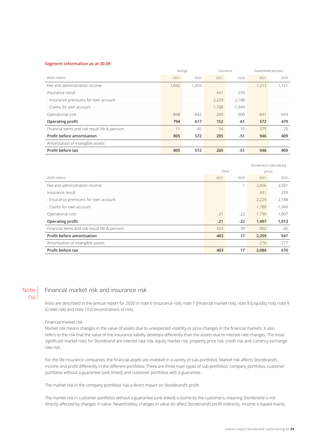#### **Segment information as at 30.09**

|                                                | Savings<br>Insurance |        |          | Guaranteed pension |        |        |
|------------------------------------------------|----------------------|--------|----------|--------------------|--------|--------|
| (NOK million)                                  | 2021                 | 2020   | 2021     | 2020               | 2021   | 2020   |
| Fee and administration income                  | 1,642                | 1,459  |          |                    | 1.213  | 1.121  |
| Insurance result                               |                      |        | 441      | 239                |        |        |
| - Insurance premiums for own account           |                      |        | 2,229    | 2,188              |        |        |
| - Claims for own account                       |                      |        | $-1,788$ | $-1,949$           |        |        |
| Operational cost                               | $-848$               | $-842$ | $-289$   | $-300$             | $-641$ | $-643$ |
| Operating profit                               | 794                  | 617    | 152      | $-61$              | 572    | 479    |
| Financial items and risk result life & pension | 11                   | $-45$  | 54       | 10                 | 375    | $-70$  |
| Profit before amortisation                     | 805                  | 572    | 205      | $-51$              | 946    | 409    |
| Amortisation of intangible assets              |                      |        |          |                    |        |        |
| Profit before tax                              | 805                  | 572    | 205      | $-51$              | 946    | 409    |

|                                                |       |       |          | Storebrand Livsforsikring |  |  |
|------------------------------------------------|-------|-------|----------|---------------------------|--|--|
|                                                |       | Other |          | group                     |  |  |
| (NOK million)                                  | 2021  | 2020  | 2021     | 2020                      |  |  |
| Fee and administration income                  |       | 1     | 2,856    | 2,581                     |  |  |
| Insurance result                               |       |       | 441      | 239                       |  |  |
| - Insurance premiums for own account           |       |       | 2,229    | 2,188                     |  |  |
| - Claims for own account                       |       |       | $-1,788$ | $-1,949$                  |  |  |
| Operational cost                               | $-21$ | $-22$ | $-1,799$ | $-1,807$                  |  |  |
| Operating profit                               | $-21$ | $-22$ | 1,497    | 1,013                     |  |  |
| Financial items and risk result life & pension | 424   | 39    | 862      | -66                       |  |  |
| Profit before amortisation                     | 403   | 17    | 2,359    | 947                       |  |  |
| Amortisation of intangible assets              |       |       | $-276$   | $-277$                    |  |  |
| Profit before tax                              | 403   | 17    | 2,084    | 670                       |  |  |

#### **Note**  $O/A$

### Financial market risk and insurance risk

Risks are described in the annual report for 2020 in note 6 (Insurance risk), note 7 (Financial market risk), note 8 (Liquidity risk), note 9 (Credit risk) and note 10 (Concentrations of risk).

#### Financial market risk

Market risk means changes in the value of assets due to unexpected volatility or price changes in the financial markets. It also refers to the risk that the value of the insurance liability develops differently than the assets due to interest rate changes. The most significant market risks for Storebrand are interest rate risk, equity market risk, property price risk, credit risk and currency exchange rate risk.

For the life insurance companies, the financial assets are invested in a variety of sub-portfolios. Market risk affects Storebrand's income and profit differently in the different portfolios. There are three main types of sub-portfolios: company portfolios, customer portfolios without a guarantee (unit linked) and customer portfolios with a guarantee.

The market risk in the company portfolios has a direct impact on Storebrand's profit.

The market risk in customer portfolios without a guarantee (unit linked) is borne by the customers, meaning Storebrand is not directly affected by changes in value. Nevertheless, changes in value do affect Storebrand's profit indirectly. Income is based mainly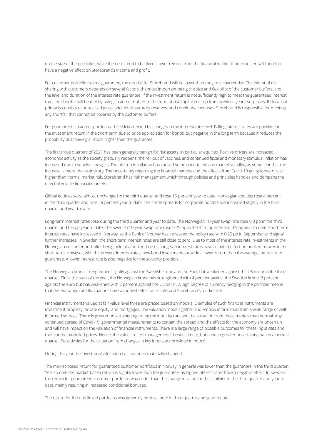on the size of the portfolios, while the costs tend to be fixed. Lower returns from the financial market than expected will therefore have a negative effect on Storebrand's income and profit.

For customer portfolios with a guarantee, the net risk for Storebrand will be lower than the gross market risk. The extent of risk sharing with customers depends on several factors, the most important being the size and flexibility of the customer buffers, and the level and duration of the interest rate guarantee. If the investment return is not sufficiently high to meet the guaranteed interest rate, the shortfall will be met by using customer buffers in the form of risk capital built up from previous years' surpluses. Risk capital primarily consists of unrealised gains, additional statutory reserves, and conditional bonuses. Storebrand is responsible for meeting any shortfall that cannot be covered by the customer buffers.

For guaranteed customer portfolios, the risk is affected by changes in the interest rate level. Falling interest rates are positive for the investment return in the short term due to price appreciation for bonds, but negative in the long term because it reduces the probability of achieving a return higher than the guarantee.

The first three quarters of 2021 has been generally benign for risk assets, in particular equities. Positive drivers are increased economic activity as the society gradually reopens, the roll-out of vaccines, and continued fiscal and monetary stimulus. Inflation has increased due to supply-shortages. The pick-up in inflation has caused some uncertainty and market volatility, as some fear that the increase is more than transitory. The uncertainty regarding the financial markets and the effects from Covid-19 going forward is still higher than normal market risk. Storebrand has risk management which through policies and principles handles and dampens the effect of volatile financial markets.

Global equities were almost unchanged in the third quarter and rose 15 percent year to date. Norwegian equities rose 4 percent in the third quarter and rose 19 percent year to date. The credit spreads for corporate bonds have increased slightly in the third quarter and year to date.

Long-term interest rates rose during the third quarter and year to date. The Norwegian 10-year swap-rate rose 0.3 pp in the third quarter and 0.6 pp year to date. The Swedish 10-year swap-rate rose 0.25 pp in the third quarter and 0.5 pp year to date. Short term interest rates have increased in Norway, as the Bank of Norway has increased the policy rate with 0,25 pp in September and signal further increases. In Sweden, the short-term interest rates are still close to zero. Due to most of the interest rate investments in the Norwegian customer portfolios being held at amortized cost, changes in interest rates have a limited effect on booked returns in the short term. However, with the present interest rates, new bond investments provide a lower return than the average interest rate guarantee. A lower interest rate is also negative for the solvency position.

The Norwegian krone strengthened slightly against the Swedish krone and the Euro but weakened against the US dollar in the third quarter. Since the start of the year, the Norwegian krone has strengthened with 4 percent against the Swedish krone, 3 percent against the euro but has weakened with 2 percent against the US dollar. A high degree of currency hedging in the portfolio means that the exchange rate fluctuations have a modest effect on results and Storebrand's market risk.

Financial instruments valued at fair value level three are priced based on models. Examples of such financial instruments are investment property, private equity, and mortgages. The valuation models gather and employ information from a wide range of wellinformed sources. There is greater uncertainty regarding the input factors and the valuation from these models than normal. Any continued spread of Covid-19, governmental measurements to contain the spread and the effects for the economy are uncertain and will have impact on the valuation of financial instruments. There is a large range of possible outcomes for these input data and thus for the modelled prices. Hence, the values reflect management's best estimate, but contain greater uncertainty than in a normal quarter. Sensitivities for the valuation from changes in key inputs are provided in note 6.

During the year the investment allocation has not been materially changed.

The market-based return for guaranteed customer portfolios in Norway in general was lower than the guarantee in the third quarter. Year to date the market-based return is slightly lower than the guarantee, as higher interest rates have a negative effect. In Sweden the return for guaranteed customer portfolios was better than the change in value for the liabilities in the third quarter and year to date, mainly resulting in increased conditional bonuses.

The return for the unit linked portfolios was generally positive, both in third quarter and year to date.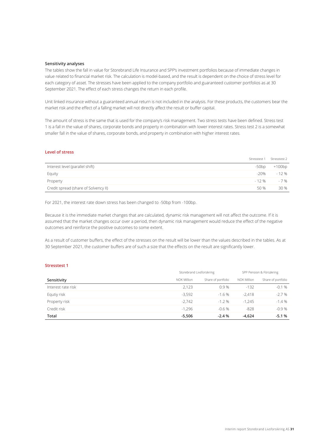#### **Sensitivity analyses**

The tables show the fall in value for Storebrand Life Insurance and SPP's investment portfolios because of immediate changes in value related to financial market risk. The calculation is model-based, and the result is dependent on the choice of stress level for each category of asset. The stresses have been applied to the company portfolio and guaranteed customer portfolios as at 30 September 2021. The effect of each stress changes the return in each profile.

Unit linked insurance without a guaranteed annual return is not included in the analysis. For these products, the customers bear the market risk and the effect of a falling market will not directly affect the result or buffer capital.

The amount of stress is the same that is used for the company's risk management. Two stress tests have been defined. Stress test 1 is a fall in the value of shares, corporate bonds and property in combination with lower interest rates. Stress test 2 is a somewhat smaller fall in the value of shares, corporate bonds, and property in combination with higher interest rates.

### **Level of stress**

|                                      |      | Stresstest 1 Stresstest 2 |
|--------------------------------------|------|---------------------------|
| Interest level (parallel shift)      |      | $-50bp$ $+100bp$          |
| Equity                               | -20% | $-12%$                    |
| Property                             |      | $-12\%$ $-7\%$            |
| Credit spread (share of Solvency II) | 50 % | 30 %                      |
|                                      |      |                           |

For 2021, the interest rate down stress has been changed to -50bp from -100bp.

Because it is the immediate market changes that are calculated, dynamic risk management will not affect the outcome. If it is assumed that the market changes occur over a period, then dynamic risk management would reduce the effect of the negative outcomes and reinforce the positive outcomes to some extent.

As a result of customer buffers, the effect of the stresses on the result will be lower than the values described in the tables. As at 30 September 2021, the customer buffers are of such a size that the effects on the result are significantly lower.

#### **Stresstest 1**

|                    | Storebrand Livsforsikring |                    | SPP Pension & Försäkring |                    |  |
|--------------------|---------------------------|--------------------|--------------------------|--------------------|--|
| Sensitivity        | NOK Million               | Share of portfolio | NOK Million              | Share of portfolio |  |
| Interest rate risk | 2.123                     | 0.9%               | $-132$                   | $-0.1%$            |  |
| Equtiy risk        | $-3.592$                  | $-1.6%$            | $-2.418$                 | $-2.7%$            |  |
| Property risk      | $-2.742$                  | $-1.2%$            | $-1.245$                 | $-1.4%$            |  |
| Credit risk        | $-1.296$                  | $-0.6%$            | $-828$                   | $-0.9%$            |  |
| Total              | $-5,506$                  | $-2.4%$            | $-4,624$                 | $-5.1%$            |  |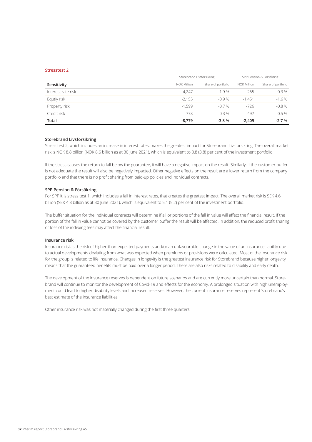#### **Stresstest 2**

|                    | Storebrand Livsforsikring |                    | SPP Pension & Försäkring |                    |  |
|--------------------|---------------------------|--------------------|--------------------------|--------------------|--|
| Sensitivity        | NOK Million               | Share of portfolio | NOK Million              | Share of portfolio |  |
| Interest rate risk | $-4.247$                  | $-1.9%$            | 265                      | 0.3%               |  |
| Equtiy risk        | $-2.155$                  | $-0.9%$            | $-1.451$                 | $-1.6%$            |  |
| Property risk      | $-1.599$                  | $-0.7%$            | $-726$                   | $-0.8%$            |  |
| Credit risk        | $-778$                    | $-0.3%$            | -497                     | $-0.5%$            |  |
| Total              | $-8,779$                  | $-3.8%$            | $-2.409$                 | $-2.7%$            |  |

#### **Storebrand Livsforsikring**

Stress test 2, which includes an increase in interest rates, makes the greatest impact for Storebrand Livsforsikring. The overall market risk is NOK 8.8 billion (NOK 8.6 billion as at 30 June 2021), which is equivalent to 3.8 (3.8) per cent of the investment portfolio.

If the stress causes the return to fall below the guarantee, it will have a negative impact on the result. Similarly, if the customer buffer is not adequate the result will also be negatively impacted. Other negative effects on the result are a lower return from the company portfolio and that there is no profit sharing from paid-up policies and individual contracts.

#### **SPP Pension & Försäkring**

For SPP it is stress test 1, which includes a fall in interest rates, that creates the greatest impact. The overall market risk is SEK 4.6 billion (SEK 4.8 billion as at 30 June 2021), which is equivalent to 5.1 (5.2) per cent of the investment portfolio.

The buffer situation for the individual contracts will determine if all or portions of the fall in value will affect the financial result. If the portion of the fall in value cannot be covered by the customer buffer the result will be affected. In addition, the reduced profit sharing or loss of the indexing fees may affect the financial result.

#### **Insurance risk**

Insurance risk is the risk of higher-than-expected payments and/or an unfavourable change in the value of an insurance liability due to actual developments deviating from what was expected when premiums or provisions were calculated. Most of the insurance risk for the group is related to life insurance. Changes in longevity is the greatest insurance risk for Storebrand because higher longevity means that the guaranteed benefits must be paid over a longer period. There are also risks related to disability and early death.

The development of the insurance reserves is dependent on future scenarios and are currently more uncertain than normal. Storebrand will continue to monitor the development of Covid-19 and effects for the economy. A prolonged situation with high unemployment could lead to higher disability levels and increased reserves. However, the current insurance reserves represent Storebrand's best estimate of the insurance liabilities.

Other insurance risk was not materially changed during the first three quarters.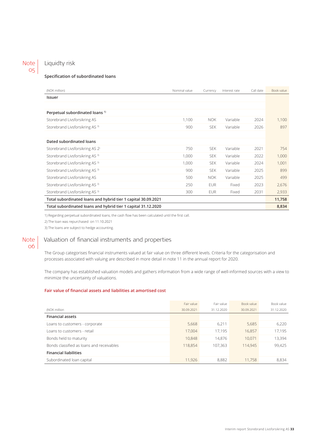### Note 05

### Liquidty risk

#### **Specification of subordinated loans**

| (NOK million)                                                 | Nominal value | Currency   | Interest rate | Call date | Book value |  |
|---------------------------------------------------------------|---------------|------------|---------------|-----------|------------|--|
| <b>Issuer</b>                                                 |               |            |               |           |            |  |
|                                                               |               |            |               |           |            |  |
| Perpetual subordinated loans <sup>1)</sup>                    |               |            |               |           |            |  |
| Storebrand Livsforsikring AS                                  | 1.100         | <b>NOK</b> | Variable      | 2024      | 1,100      |  |
| Storebrand Livsforsikring AS <sup>3)</sup>                    | 900           | <b>SEK</b> | Variable      | 2026      | 897        |  |
|                                                               |               |            |               |           |            |  |
| Dated subordinated loans                                      |               |            |               |           |            |  |
| Storebrand Livsforsikring AS 2 <sup>)</sup>                   | 750           | <b>SEK</b> | Variable      | 2021      | 754        |  |
| Storebrand Livsforsikring AS <sup>3)</sup>                    | 1,000         | <b>SEK</b> | Variable      | 2022      | 1,000      |  |
| Storebrand Livsforsikring AS <sup>3)</sup>                    | 1,000         | <b>SEK</b> | Variable      | 2024      | 1,001      |  |
| Storebrand Livsforsikring AS <sup>3)</sup>                    | 900           | <b>SEK</b> | Variable      | 2025      | 899        |  |
| Storebrand Livsforsikring AS                                  | 500           | <b>NOK</b> | Variable      | 2025      | 499        |  |
| Storebrand Livsforsikring AS <sup>3)</sup>                    | 250           | <b>EUR</b> | Fixed         | 2023      | 2,676      |  |
| Storebrand Livsforsikring AS <sup>3)</sup>                    | 300           | <b>EUR</b> | Fixed         | 2031      | 2,933      |  |
| Total subordinated loans and hybrid tier 1 capital 30.09.2021 |               |            |               |           |            |  |
| Total subordinated loans and hybrid tier 1 capital 31.12.2020 |               |            |               |           |            |  |

1) Regarding perpetual subordinated loans, the cash flow has been calculated until the first call.

2) The loan was repurchased on 11.10.2021

3) The loans are subject to hedge accounting.

### Note |  $06$

### Valuation of financial instruments and properties

The Group categorises financial instruments valued at fair value on three different levels. Criteria for the categorisation and processes associated with valuing are described in more detail in note 11 in the annual report for 2020.

The company has established valuation models and gathers information from a wide range of well-informed sources with a view to minimize the uncertainty of valuations.

#### **Fair value of financial assets and liabilities at amortised cost**

|                                           | Fair value | Fair value | Book value | Book value |
|-------------------------------------------|------------|------------|------------|------------|
| (NOK million                              | 30.09.2021 | 31.12.2020 | 30.09.2021 | 31.12.2020 |
| <b>Financial assets</b>                   |            |            |            |            |
| Loans to customers - corporate            | 5,668      | 6.211      | 5,685      | 6,220      |
| Loans to customers - retail               | 17.004     | 17.195     | 16.857     | 17,195     |
| Bonds held to maturity                    | 10,848     | 14.876     | 10.071     | 13,394     |
| Bonds classified as loans and receivables | 118.854    | 107.363    | 114,945    | 99,425     |
| <b>Financial liabilities</b>              |            |            |            |            |
| Subordinated loan capital                 | 11.926     | 8.882      | 11.758     | 8.834      |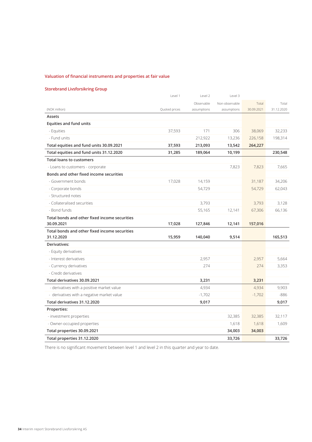### **Valuation of financial instruments and properties at fair value**

### **Storebrand Livsforsikring Group**

|                                               | Level 1       | Level 2     | Level 3        |            |            |
|-----------------------------------------------|---------------|-------------|----------------|------------|------------|
|                                               |               | Observable  | Non-observable | Total      | Total      |
| (NOK million)                                 | Quoted prices | assumptions | assumptions    | 30.09.2021 | 31.12.2020 |
| Assets                                        |               |             |                |            |            |
| <b>Equities and fund units</b>                |               |             |                |            |            |
| - Equities                                    | 37,593        | 171         | 306            | 38,069     | 32,233     |
| - Fund units                                  |               | 212,922     | 13,236         | 226,158    | 198,314    |
| Total equities and fund units 30.09.2021      | 37,593        | 213,093     | 13,542         | 264,227    |            |
| Total equities and fund units 31.12.2020      | 31,285        | 189,064     | 10,199         |            | 230,548    |
| <b>Total loans to customers</b>               |               |             |                |            |            |
| - Loans to customers - corporate              |               |             | 7,823          | 7,823      | 7,665      |
| Bonds and other fixed income securities       |               |             |                |            |            |
| - Government bonds                            | 17,028        | 14,159      |                | 31,187     | 34,206     |
| - Corporate bonds                             |               | 54,729      |                | 54,729     | 62,043     |
| - Structured notes                            |               |             |                |            |            |
| - Collateralised securities                   |               | 3,793       |                | 3,793      | 3,128      |
| - Bond funds                                  |               | 55,165      | 12,141         | 67,306     | 66,136     |
| Total bonds and other fixed income securities |               |             |                |            |            |
| 30.09.2021                                    | 17,028        | 127,846     | 12,141         | 157,016    |            |
| Total bonds and other fixed income securities |               |             |                |            |            |
| 31.12.2020                                    | 15,959        | 140,040     | 9,514          |            | 165,513    |
| Derivatives:                                  |               |             |                |            |            |
| - Equity derivatives                          |               |             |                |            |            |
| - Interest derivatives                        |               | 2,957       |                | 2,957      | 5,664      |
| - Currency derivatives                        |               | 274         |                | 274        | 3,353      |
| - Credit derivatives                          |               |             |                |            |            |
| Total derivatives 30.09.2021                  |               | 3,231       |                | 3,231      |            |
| - derivatives with a positive market value    |               | 4,934       |                | 4,934      | 9,903      |
| - derivatives with a negative market value    |               | $-1,702$    |                | $-1,702$   | -886       |
| Total derivatives 31.12.2020                  |               | 9,017       |                |            | 9,017      |
| Properties:                                   |               |             |                |            |            |
| - investment properties                       |               |             | 32,385         | 32,385     | 32,117     |
|                                               |               |             |                |            |            |
| - Owner-occupied properties                   |               |             | 1,618          | 1,618      | 1,609      |
| Total properties 30.09.2021                   |               |             | 34,003         | 34,003     |            |

There is no significant movement between level 1 and level 2 in this quarter and year to date.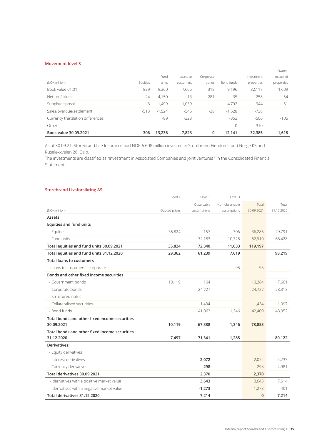#### **Movement level 3**

|                                  |          |          |           |           |            |            | Owner-     |
|----------------------------------|----------|----------|-----------|-----------|------------|------------|------------|
|                                  |          | Fund     | Loans to  | Corporate |            | Investment | occupied   |
| (NOK million)                    | Equities | units    | customers | bonds     | Bond funds | properties | properties |
| Book value 01.01                 | 839      | 9,360    | 7.665     | 318       | 9,196      | 32,117     | 1.609      |
| Net profit/loss                  | $-24$    | 4,150    | $-13$     | $-281$    | 35         | 258        | 64         |
| Supply/disposal                  | 3        | 1.499    | 1.039     |           | 4,792      | 944        | 51         |
| Sales/overdue/settlement         | $-513$   | $-1.524$ | $-545$    | -38       | $-1.528$   | $-738$     |            |
| Currency translation differences |          | -89      | $-323$    |           | $-353$     | $-506$     | $-106$     |
| Other                            |          |          |           |           | 0          | 310        |            |
| Book value 30.09.2021            | 306      | 13.236   | 7,823     | 0         | 12,141     | 32,385     | 1,618      |

As of 30.09.21, Storebrand Life Insurance had NOK 6 608 million invested in Storebrand Eiendomsfond Norge KS and Ruseløkkveien 26, Oslo.

The investments are classified as "Investment in Associated Companies and joint ventures " in the Consolidated Financial Statements.

#### **Storebrand Livsforsikring AS**

|                                               | Level 1       | Level 2     | Level 3        |              |            |
|-----------------------------------------------|---------------|-------------|----------------|--------------|------------|
|                                               |               | Observable  | Non-observable | Total        | Total      |
| (NOK million)                                 | Quoted prices | assumptions | assumptions    | 30.09.2021   | 31.12.2020 |
| Assets                                        |               |             |                |              |            |
| <b>Equities and fund units</b>                |               |             |                |              |            |
| - Equities                                    | 35,824        | 157         | 306            | 36,286       | 29,791     |
| - Fund units                                  |               | 72,183      | 10,728         | 82,910       | 68,428     |
| Total equities and fund units 30.09.2021      | 35,824        | 72,340      | 11,033         | 119,197      |            |
| Total equities and fund units 31.12.2020      | 29,362        | 61,239      | 7,619          |              | 98,219     |
| <b>Total loans to customers</b>               |               |             |                |              |            |
| - Loans to customers - corporate              |               |             | 95             | 95           |            |
| Bonds and other fixed income securities       |               |             |                |              |            |
| - Government bonds                            | 10,119        | 164         |                | 10,284       | 7,661      |
| - Corporate bonds                             |               | 24,727      |                | 24,727       | 28,313     |
| - Structured notes                            |               |             |                |              |            |
| - Collateralised securities                   |               | 1,434       |                | 1,434        | 1,097      |
| - Bond funds                                  |               | 41,063      | 1,346          | 42,409       | 43,052     |
| Total bonds and other fixed income securities |               |             |                |              |            |
| 30.09.2021                                    | 10,119        | 67,388      | 1,346          | 78,853       |            |
| Total bonds and other fixed income securities |               |             |                |              |            |
| 31.12.2020                                    | 7,497         | 71,341      | 1,285          |              | 80,122     |
| Derivatives:                                  |               |             |                |              |            |
| - Equity derivatives                          |               |             |                |              |            |
| - Interest derivatives                        |               | 2,072       |                | 2,072        | 4,233      |
| - Currency derivatives                        |               | 298         |                | 298          | 2,981      |
| Total derivatives 30.09.2021                  |               | 2,370       |                | 2,370        |            |
| - derivatives with a positive market value    |               | 3,643       |                | 3,643        | 7,614      |
| - derivatives with a negative market value    |               | $-1,273$    |                | $-1,273$     | $-401$     |
| Total derivatives 31.12.2020                  |               | 7,214       |                | $\mathbf{0}$ | 7,214      |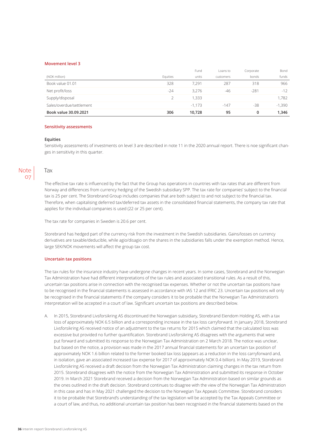#### **Movement level 3**

|                          |          | Fund     | Loans to  | Corporate | Bond     |
|--------------------------|----------|----------|-----------|-----------|----------|
| (NOK million)            | Equities | units    | customers | bonds     | funds    |
| Book value 01.01         | 328      | 7.291    | 287       | 318       | 966      |
| Net profit/loss          | $-24$    | 3.276    | -46       | $-281$    | $-12$    |
| Supply/disposal          |          | 1.333    |           |           | 1.782    |
| Sales/overdue/settlement |          | $-1.173$ | $-147$    | $-38$     | $-1,390$ |
| Book value 30.09.2021    | 306      | 10.728   | 95        | 0         | 1,346    |

#### **Sensitivity assessments**

#### **Equities**

Tax

Sensitivity assessments of investments on level 3 are described in note 11 in the 2020 annual report. There is noe significant changes in sensitivity in this quarter.

### Note 07

The effective tax rate is influenced by the fact that the Group has operations in countries with tax rates that are different from Norway and differences from currency hedging of the Swedish subsidiary SPP. The tax rate for companies' subject to the financial tax is 25 per cent. The Storebrand Group includes companies that are both subject to and not subject to the financial tax. Therefore, when capitalising deferred tax/deferred tax assets in the consolidated financial statements, the company tax rate that applies for the individual companies is used (22 or 25 per cent).

The tax rate for companies in Sweden is 20.6 per cent.

Storebrand has hedged part of the currency risk from the investment in the Swedish subsidiaries. Gains/losses on currency derivatives are taxable/deducible, while agio/disagio on the shares in the subsidiaries falls under the exemption method. Hence, large SEK/NOK movements will affect the group tax cost.

#### **Uncertain tax positions**

The tax rules for the insurance industry have undergone changes in recent years. In some cases, Storebrand and the Norwegian Tax Administration have had different interpretations of the tax rules and associated transitional rules. As a result of this, uncertain tax positions arise in connection with the recognised tax expenses. Whether or not the uncertain tax positions have to be recognised in the financial statements is assessed in accordance with IAS 12 and IFRIC 23. Uncertain tax positions will only be recognised in the financial statements if the company considers it to be probable that the Norwegian Tax Administration's interpretation will be accepted in a court of law. Significant uncertain tax positions are described below.

A. In 2015, Storebrand Livsforsikring AS discontinued the Norwegian subsidiary, Storebrand Eiendom Holding AS, with a tax loss of approximately NOK 6.5 billion and a corresponding increase in the tax loss carryforward. In January 2018, Storebrand Livsforsikring AS received notice of an adjustment to the tax returns for 2015 which claimed that the calculated loss was excessive but provided no further quantification. Storebrand Livsforsikring AS disagrees with the arguments that were put forward and submitted its response to the Norwegian Tax Administration on 2 March 2018. The notice was unclear, but based on the notice, a provision was made in the 2017 annual financial statements for an uncertain tax position of approximately NOK 1.6 billion related to the former booked tax loss (appears as a reduction in the loss carryforward and, in isolation, gave an associated increased tax expense for 2017 of approximately NOK 0.4 billion). In May 2019, Storebrand Livsforsikring AS received a draft decision from the Norwegian Tax Administration claiming changes in the tax return from 2015. Storebrand disagrees with the notice from the Norwegian Tax Administration and submitted its response in October 2019. In March 2021 Storebrand received a decision from the Norwegian Tax Administration based on similar grounds as the ones outlined in the draft decision. Storebrand continues to disagree with the view of the Norwegian Tax Administration in this case and has in May 2021 challenged the decision to the Norwegian Tax Appeals Committee. Storebrand considers it to be probable that Storebrand's understanding of the tax legislation will be accepted by the Tax Appeals Committee or a court of law, and thus, no additional uncertain tax position has been recognised in the financial statements based on the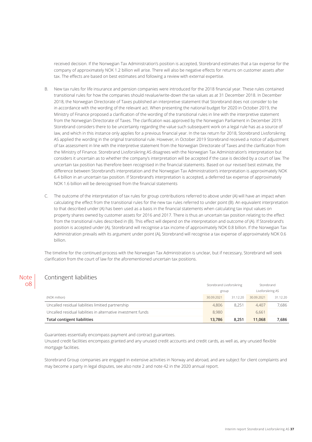received decision. If the Norwegian Tax Administration's position is accepted, Storebrand estimates that a tax expense for the company of approximately NOK 1.2 billion will arise. There will also be negative effects for returns on customer assets after tax. The effects are based on best estimates and following a review with external expertise.

- B. New tax rules for life insurance and pension companies were introduced for the 2018 financial year. These rules contained transitional rules for how the companies should revalue/write-down the tax values as at 31 December 2018. In December 2018, the Norwegian Directorate of Taxes published an interpretive statement that Storebrand does not consider to be in accordance with the wording of the relevant act. When presenting the national budget for 2020 in October 2019, the Ministry of Finance proposed a clarification of the wording of the transitional rules in line with the interpretive statement from the Norwegian Directorate of Taxes. The clarification was approved by the Norwegian Parliament in December 2019. Storebrand considers there to be uncertainty regarding the value such subsequent work on a legal rule has as a source of law, and which in this instance only applies for a previous financial year. In the tax return for 2018, Storebrand Livsforsikring AS applied the wording in the original transitional rule. However, in October 2019 Storebrand received a notice of adjustment of tax assessment in line with the interpretive statement from the Norwegian Directorate of Taxes and the clarification from the Ministry of Finance. Storebrand Livsforsikring AS disagrees with the Norwegian Tax Administration's interpretation but considers it uncertain as to whether the company's interpretation will be accepted if the case is decided by a court of law. The uncertain tax position has therefore been recognised in the financial statements. Based on our revised best estimate, the difference between Storebrand's interpretation and the Norwegian Tax Administration's interpretation is approximately NOK 6.4 billion in an uncertain tax position. If Storebrand's interpretation is accepted, a deferred tax expense of approximately NOK 1.6 billion will be derecognised from the financial statements
- C. The outcome of the interpretation of tax rules for group contributions referred to above under (A) will have an impact when calculating the effect from the transitional rules for the new tax rules referred to under point (B). An equivalent interpretation to that described under (A) has been used as a basis in the financial statements when calculating tax input values on property shares owned by customer assets for 2016 and 2017. There is thus an uncertain tax position relating to the effect from the transitional rules described in (B). This effect will depend on the interpretation and outcome of (A). If Storebrand's position is accepted under (A), Storebrand will recognise a tax income of approximately NOK 0.8 billion. If the Norwegian Tax Administration prevails with its argument under point (A), Storebrand will recognise a tax expense of approximately NOK 0.6 billion.

The timeline for the continued process with the Norwegian Tax Administration is unclear, but if necessary, Storebrand will seek clarification from the court of law for the aforementioned uncertain tax positions.

### Contingent liabilities

**Note** 08

|                                                               | Storebrand Livsforsikring |          | Storebrand        |          |
|---------------------------------------------------------------|---------------------------|----------|-------------------|----------|
|                                                               | group                     |          | Livsforsikring AS |          |
| (NOK million)                                                 | 30.09.2021                | 31.12.20 | 30.09.2021        | 31.12.20 |
| Uncalled residual liabilities limitied partnership            | 4,806                     | 8.251    | 4.407             | 7.686    |
| Uncalled residual liabilities in alternative investment funds | 8.980                     |          | 6.661             |          |
| <b>Total contigent liabilities</b>                            | 13.786                    | 8.251    | 11.068            | 7.686    |

Guarantees essentially encompass payment and contract guarantees.

Unused credit facilities encompass granted and any unused credit accounts and credit cards, as well as, any unused flexible mortgage facilities.

Storebrand Group companies are engaged in extensive activities in Norway and abroad, and are subject for client complaints and may become a party in legal disputes, see also note 2 and note 42 in the 2020 annual report.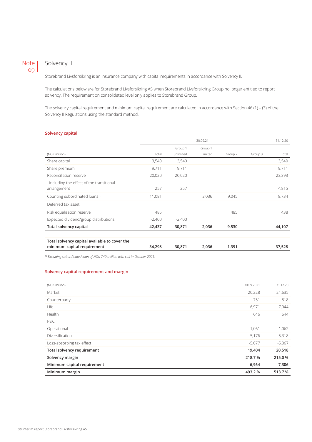### Note 09

### Solvency II

Storebrand Livsforsikring is an insurance company with capital requirements in accordance with Solvency II.

The calculations below are for Storebrand Livsforsikring AS when Storebrand Livsforsikring Group no longer entitled to report solvency. The requirement on consolidated level only applies to Storebrand Group.

The solvency capital requirement and minimum capital requirement are calculated in accordance with Section 46 (1) – (3) of the Solvency II Regulations using the standard method.

#### **Solvency capital**

|                                               |          |           | 30.09.21 |         |         | 31.12.20 |
|-----------------------------------------------|----------|-----------|----------|---------|---------|----------|
|                                               |          | Group 1   | Group 1  |         |         |          |
| (NOK million)                                 | Total    | unlimited | limited  | Group 2 | Group 3 | Total    |
| Share capital                                 | 3,540    | 3,540     |          |         |         | 3,540    |
| Share premium                                 | 9,711    | 9,711     |          |         |         | 9,711    |
| Reconciliation reserve                        | 20,020   | 20,020    |          |         |         | 23,393   |
| Including the effect of the transitional      |          |           |          |         |         |          |
| arrangement                                   | 257      | 257       |          |         |         | 4,815    |
| Counting subordinated loans <sup>1)</sup>     | 11,081   |           | 2,036    | 9,045   |         | 8,734    |
| Deferred tax asset                            |          |           |          |         |         |          |
| Risk equalisation reserve                     | 485      |           |          | 485     |         | 438      |
| Expected dividend/group distributions         | $-2,400$ | $-2,400$  |          |         |         |          |
| Total solvency capital                        | 42,437   | 30,871    | 2,036    | 9,530   |         | 44,107   |
|                                               |          |           |          |         |         |          |
| Total solvency capital available to cover the |          |           |          |         |         |          |
| minimum capital requirement                   | 34,298   | 30,871    | 2,036    | 1,391   |         | 37,528   |

1) *Excluding subordinated loan of NOK 749 million with call in October 2021.*

### **Solvency capital requirement and margin**

| (NOK million)                     | 30.09.2021 | 31.12.20 |
|-----------------------------------|------------|----------|
| Market                            | 20,228     | 21,635   |
| Counterparty                      | 751        | 818      |
| Life                              | 6,971      | 7,044    |
| Health                            | 646        | 644      |
| P&C                               |            |          |
| Operational                       | 1,061      | 1,062    |
| Diversification                   | $-5,176$   | $-5,318$ |
| Loss-absorbing tax effect         | $-5,077$   | $-5,367$ |
| <b>Total solvency requirement</b> | 19,404     | 20,518   |
| Solvency margin                   | 218.7%     | 215.0%   |
| Minimum capital requirement       | 6,954      | 7,306    |
| Minimum margin                    | 493.2%     | 513.7%   |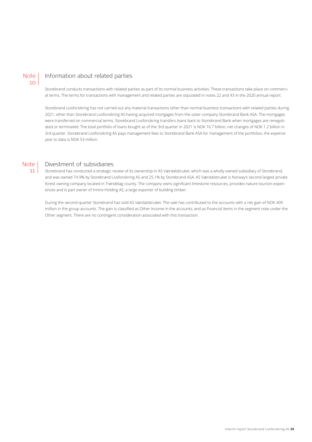#### Information about related parties **Note**

Storebrand conducts transactions with related parties as part of its normal business activities. These transactions take place on commercial terms. The terms for transactions with management and related parties are stipulated in notes 22 and 43 in the 2020 annual report.

Storebrand Livsforsikring has not carried out any material transactions other than normal business transactions with related parties during 2021, other than Storebrand Livsforsikring AS having acquired mortgages from the sister company Storebrand Bank ASA. The mortgages were transferred on commercial terms. Storebrand Livsforsikring transfers loans back to Storebrand Bank when mortgages are renegotiated or terminated. The total portfolio of loans bought as of the 3rd quarter in 2021 is NOK 16.7 billion, net changes of NOK 1.2 billion in 3rd quarter. Storebrand Livsforsikring AS pays management fees to Storebrand Bank ASA for management of the portfolios, the expence year to data is NOK 53 million.

#### **Note** 11

10

### Divestment of subsidiaries

Storebrand has conducted a strategic review of its ownership in AS Værdalsbruket, which was a wholly owned subsidiary of Storebrand, and was owned 74.9% by Storebrand Livsforsikring AS and 25.1% by Storebrand ASA. AS Værdalsbruket is Norway's second largest private forest owning company located in Trøndelag county. The company owns significant limestone resources, provides nature tourism experiences and is part owner of Inntre Holding AS, a large exporter of building timber.

During the second quarter Storebrand has sold AS Værdalsbruket. The sale has contributed to the accounts with a net gain of NOK 409 million in the group accounts. The gain is classified as Other Income in the accounts, and as Financial Items in the segment note under the Other segment. There are no contingent consideration associated with this transaction.